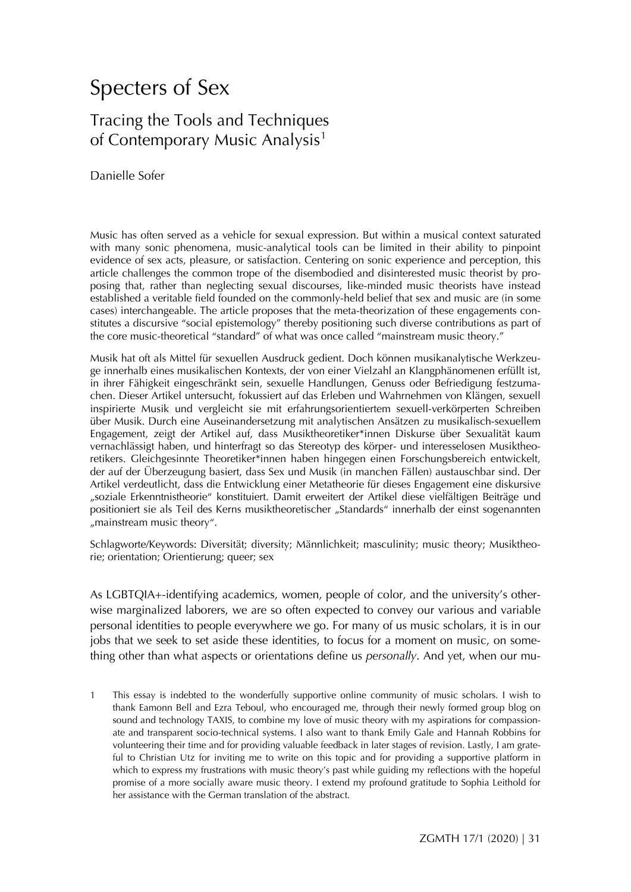# Specters of Sex

# Tracing the Tools and Techniques of Contemporary Music Analysis<sup>[1](#page-0-0)</sup>

Danielle Sofer

Music has often served as a vehicle for sexual expression. But within a musical context saturated with many sonic phenomena, music-analytical tools can be limited in their ability to pinpoint evidence of sex acts, pleasure, or satisfaction. Centering on sonic experience and perception, this article challenges the common trope of the disembodied and disinterested music theorist by proposing that, rather than neglecting sexual discourses, like-minded music theorists have instead established a veritable field founded on the commonly-held belief that sex and music are (in some cases) interchangeable. The article proposes that the meta-theorization of these engagements constitutes a discursive "social epistemology" thereby positioning such diverse contributions as part of the core music-theoretical "standard" of what was once called "mainstream music theory."

Musik hat oft als Mittel für sexuellen Ausdruck gedient. Doch können musikanalytische Werkzeuge innerhalb eines musikalischen Kontexts, der von einer Vielzahl an Klangphänomenen erfüllt ist, in ihrer Fähigkeit eingeschränkt sein, sexuelle Handlungen, Genuss oder Befriedigung festzumachen. Dieser Artikel untersucht, fokussiert auf das Erleben und Wahrnehmen von Klängen, sexuell inspirierte Musik und vergleicht sie mit erfahrungsorientiertem sexuell-verkörperten Schreiben über Musik. Durch eine Auseinandersetzung mit analytischen Ansätzen zu musikalisch-sexuellem Engagement, zeigt der Artikel auf, dass Musiktheoretiker\*innen Diskurse über Sexualität kaum vernachlässigt haben, und hinterfragt so das Stereotyp des körper- und interesselosen Musiktheoretikers. Gleichgesinnte Theoretiker\*innen haben hingegen einen Forschungsbereich entwickelt, der auf der Überzeugung basiert, dass Sex und Musik (in manchen Fällen) austauschbar sind. Der Artikel verdeutlicht, dass die Entwicklung einer Metatheorie für dieses Engagement eine diskursive "soziale Erkenntnistheorie" konstituiert. Damit erweitert der Artikel diese vielfältigen Beiträge und positioniert sie als Teil des Kerns musiktheoretischer "Standards" innerhalb der einst sogenannten "mainstream music theory".

Schlagworte/Keywords: Diversität; diversity; Männlichkeit; masculinity; music theory; Musiktheorie; orientation; Orientierung; queer; sex

As LGBTQIA+-identifying academics, women, people of color, and the university's otherwise marginalized laborers, we are so often expected to convey our various and variable personal identities to people everywhere we go. For many of us music scholars, it is in our jobs that we seek to set aside these identities, to focus for a moment on music, on something other than what aspects or orientations define us *personally*. And yet, when our mu-

<span id="page-0-0"></span>1 This essay is indebted to the wonderfully supportive online community of music scholars. I wish to thank Eamonn Bell and Ezra Teboul, who encouraged me, through their newly formed group blog on sound and technology TAXIS, to combine my love of music theory with my aspirations for compassionate and transparent socio-technical systems. I also want to thank Emily Gale and Hannah Robbins for volunteering their time and for providing valuable feedback in later stages of revision. Lastly, I am grateful to Christian Utz for inviting me to write on this topic and for providing a supportive platform in which to express my frustrations with music theory's past while guiding my reflections with the hopeful promise of a more socially aware music theory. I extend my profound gratitude to Sophia Leithold for her assistance with the German translation of the abstract.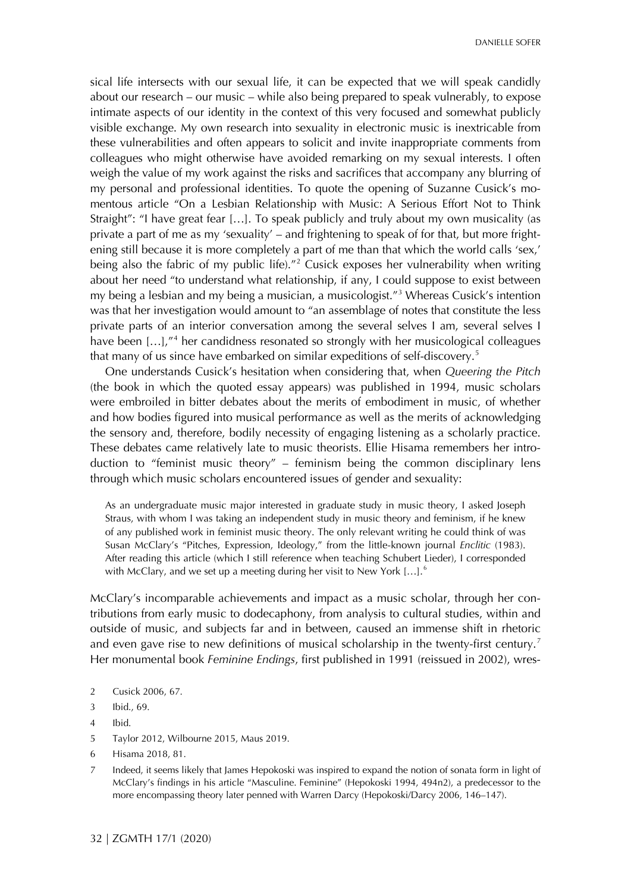sical life intersects with our sexual life, it can be expected that we will speak candidly about our research – our music – while also being prepared to speak vulnerably, to expose intimate aspects of our identity in the context of this very focused and somewhat publicly visible exchange. My own research into sexuality in electronic music is inextricable from these vulnerabilities and often appears to solicit and invite inappropriate comments from colleagues who might otherwise have avoided remarking on my sexual interests. I often weigh the value of my work against the risks and sacrifices that accompany any blurring of my personal and professional identities. To quote the opening of Suzanne Cusick's momentous article "On a Lesbian Relationship with Music: A Serious Effort Not to Think Straight": "I have great fear […]. To speak publicly and truly about my own musicality (as private a part of me as my 'sexuality' – and frightening to speak of for that, but more frightening still because it is more completely a part of me than that which the world calls 'sex,' being also the fabric of my public life).<sup>"[2](#page-1-0)</sup> Cusick exposes her vulnerability when writing about her need "to understand what relationship, if any, I could suppose to exist between my being a lesbian and my being a musician, a musicologist."[3](#page-1-0) Whereas Cusick's intention was that her investigation would amount to "an assemblage of notes that constitute the less private parts of an interior conversation among the several selves I am, several selves I have been [...],"<sup>[4](#page-1-0)</sup> her candidness resonated so strongly with her musicological colleagues that many of us since have embarked on similar expeditions of self-discovery.<sup>5</sup>

One understands Cusick's hesitation when considering that, when *Queering the Pitch*  (the book in which the quoted essay appears) was published in 1994, music scholars were embroiled in bitter debates about the merits of embodiment in music, of whether and how bodies figured into musical performance as well as the merits of acknowledging the sensory and, therefore, bodily necessity of engaging listening as a scholarly practice. These debates came relatively late to music theorists. Ellie Hisama remembers her introduction to "feminist music theory" – feminism being the common disciplinary lens through which music scholars encountered issues of gender and sexuality:

As an undergraduate music major interested in graduate study in music theory, I asked Joseph Straus, with whom I was taking an independent study in music theory and feminism, if he knew of any published work in feminist music theory. The only relevant writing he could think of was Susan McClary's "Pitches, Expression, Ideology," from the little-known journal *Enclitic* (1983). After reading this article (which I still reference when teaching Schubert Lieder), I corresponded with McClary, and we set up a meeting during her visit to New York [...].<sup>[6](#page-1-0)</sup>

McClary's incomparable achievements and impact as a music scholar, through her contributions from early music to dodecaphony, from analysis to cultural studies, within and outside of music, and subjects far and in between, caused an immense shift in rhetoric and even gave rise to new definitions of musical scholarship in the twenty-first century.<sup>[7](#page-1-0)</sup> Her monumental book *Feminine Endings*, first published in 1991 (reissued in 2002), wres-

- <span id="page-1-0"></span>2 Cusick 2006, 67.
- 3 Ibid., 69.
- 4 Ibid.
- 5 Taylor 2012, Wilbourne 2015, Maus 2019.
- 6 Hisama 2018, 81.
- 7 Indeed, it seems likely that James Hepokoski was inspired to expand the notion of sonata form in light of McClary's findings in his article "Masculine. Feminine" (Hepokoski 1994, 494n2), a predecessor to the more encompassing theory later penned with Warren Darcy (Hepokoski/Darcy 2006, 146–147).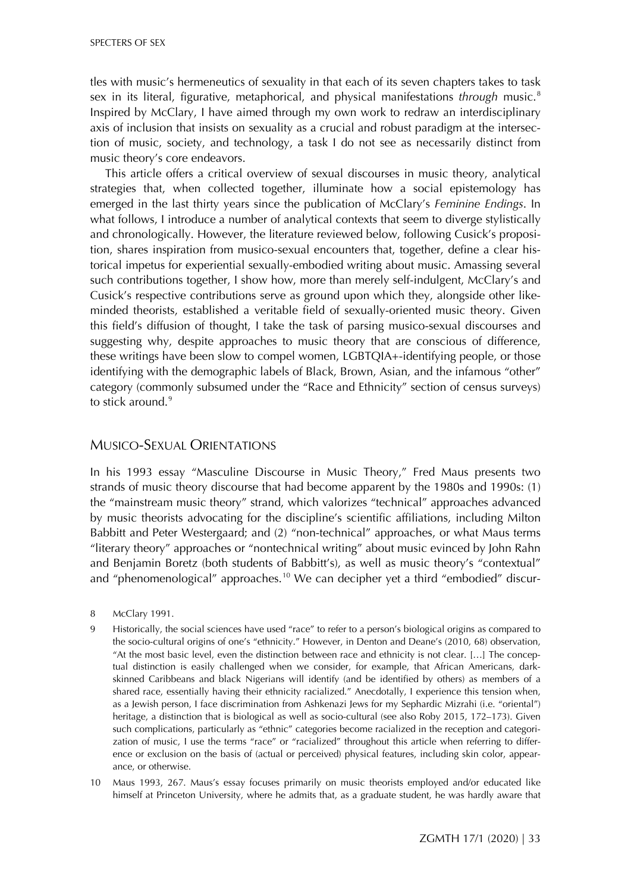SPECTERS OF SEX

tles with music's hermeneutics of sexuality in that each of its seven chapters takes to task sex in its literal, figurative, metaphorical, and physical manifestations *through* music.[8](#page-2-0) Inspired by McClary, I have aimed through my own work to redraw an interdisciplinary axis of inclusion that insists on sexuality as a crucial and robust paradigm at the intersection of music, society, and technology, a task I do not see as necessarily distinct from music theory's core endeavors.

This article offers a critical overview of sexual discourses in music theory, analytical strategies that, when collected together, illuminate how a social epistemology has emerged in the last thirty years since the publication of McClary's *Feminine Endings*. In what follows, I introduce a number of analytical contexts that seem to diverge stylistically and chronologically. However, the literature reviewed below, following Cusick's proposition, shares inspiration from musico-sexual encounters that, together, define a clear historical impetus for experiential sexually-embodied writing about music. Amassing several such contributions together, I show how, more than merely self-indulgent, McClary's and Cusick's respective contributions serve as ground upon which they, alongside other likeminded theorists, established a veritable field of sexually-oriented music theory. Given this field's diffusion of thought, I take the task of parsing musico-sexual discourses and suggesting why, despite approaches to music theory that are conscious of difference, these writings have been slow to compel women, LGBTQIA+-identifying people, or those identifying with the demographic labels of Black, Brown, Asian, and the infamous "other" category (commonly subsumed under the "Race and Ethnicity" section of census surveys) to stick around. $9$ 

#### MUSICO-SEXUAL ORIENTATIONS

In his 1993 essay "Masculine Discourse in Music Theory," Fred Maus presents two strands of music theory discourse that had become apparent by the 1980s and 1990s: (1) the "mainstream music theory" strand, which valorizes "technical" approaches advanced by music theorists advocating for the discipline's scientific affiliations, including Milton Babbitt and Peter Westergaard; and (2) "non-technical" approaches, or what Maus terms "literary theory" approaches or "nontechnical writing" about music evinced by John Rahn and Benjamin Boretz (both students of Babbitt's), as well as music theory's "contextual" and "phenomenological" approaches.<sup>[10](#page-2-0)</sup> We can decipher yet a third "embodied" discur-

- <span id="page-2-0"></span>8 McClary 1991.
- 9 Historically, the social sciences have used "race" to refer to a person's biological origins as compared to the socio-cultural origins of one's "ethnicity." However, in Denton and Deane's (2010, 68) observation, "At the most basic level, even the distinction between race and ethnicity is not clear. […] The conceptual distinction is easily challenged when we consider, for example, that African Americans, darkskinned Caribbeans and black Nigerians will identify (and be identified by others) as members of a shared race, essentially having their ethnicity racialized." Anecdotally, I experience this tension when, as a Jewish person, I face discrimination from Ashkenazi Jews for my Sephardic Mizrahi (i.e. "oriental") heritage, a distinction that is biological as well as socio-cultural (see also Roby 2015, 172–173). Given such complications, particularly as "ethnic" categories become racialized in the reception and categorization of music, I use the terms "race" or "racialized" throughout this article when referring to difference or exclusion on the basis of (actual or perceived) physical features, including skin color, appearance, or otherwise.
- 10 Maus 1993, 267. Maus's essay focuses primarily on music theorists employed and/or educated like himself at Princeton University, where he admits that, as a graduate student, he was hardly aware that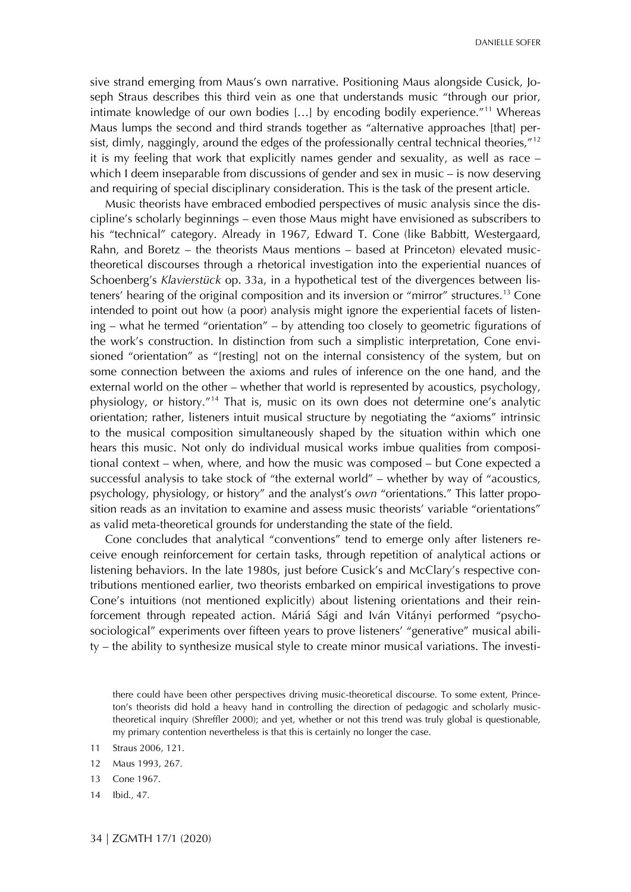sive strand emerging from Maus's own narrative. Positioning Maus alongside Cusick, Joseph Straus describes this third vein as one that understands music "through our prior, intimate knowledge of our own bodies […] by encoding bodily experience."[11](#page-3-0) Whereas Maus lumps the second and third strands together as "alternative approaches [that] per-sist, dimly, naggingly, around the edges of the professionally central technical theories,"<sup>[12](#page-3-0)</sup> it is my feeling that work that explicitly names gender and sexuality, as well as race – which I deem inseparable from discussions of gender and sex in music – is now deserving and requiring of special disciplinary consideration. This is the task of the present article.

Music theorists have embraced embodied perspectives of music analysis since the discipline's scholarly beginnings – even those Maus might have envisioned as subscribers to his "technical" category. Already in 1967, Edward T. Cone (like Babbitt, Westergaard, Rahn, and Boretz – the theorists Maus mentions – based at Princeton) elevated musictheoretical discourses through a rhetorical investigation into the experiential nuances of Schoenberg's *Klavierstück* op. 33a, in a hypothetical test of the divergences between listeners' hearing of the original composition and its inversion or "mirror" structures.[13](#page-3-0) Cone intended to point out how (a poor) analysis might ignore the experiential facets of listening – what he termed "orientation" – by attending too closely to geometric figurations of the work's construction. In distinction from such a simplistic interpretation, Cone envisioned "orientation" as "[resting] not on the internal consistency of the system, but on some connection between the axioms and rules of inference on the one hand, and the external world on the other – whether that world is represented by acoustics, psychology, physiology, or history."[14](#page-3-0) That is, music on its own does not determine one's analytic orientation; rather, listeners intuit musical structure by negotiating the "axioms" intrinsic to the musical composition simultaneously shaped by the situation within which one hears this music. Not only do individual musical works imbue qualities from compositional context – when, where, and how the music was composed – but Cone expected a successful analysis to take stock of "the external world" – whether by way of "acoustics, psychology, physiology, or history" and the analyst's *own* "orientations." This latter proposition reads as an invitation to examine and assess music theorists' variable "orientations" as valid meta-theoretical grounds for understanding the state of the field.

Cone concludes that analytical "conventions" tend to emerge only after listeners receive enough reinforcement for certain tasks, through repetition of analytical actions or listening behaviors. In the late 1980s, just before Cusick's and McClary's respective contributions mentioned earlier, two theorists embarked on empirical investigations to prove Cone's intuitions (not mentioned explicitly) about listening orientations and their reinforcement through repeated action. Máriá Sági and Iván Vitányi performed "psychosociological" experiments over fifteen years to prove listeners' "generative" musical ability – the ability to synthesize musical style to create minor musical variations. The investi-

there could have been other perspectives driving music-theoretical discourse. To some extent, Princeton's theorists did hold a heavy hand in controlling the direction of pedagogic and scholarly musictheoretical inquiry (Shreffler 2000); and yet, whether or not this trend was truly global is questionable, my primary contention nevertheless is that this is certainly no longer the case.

<span id="page-3-0"></span><sup>11</sup> Straus 2006, 121.

<sup>12</sup> Maus 1993, 267.

<sup>13</sup> Cone 1967.

<sup>14</sup> Ibid., 47.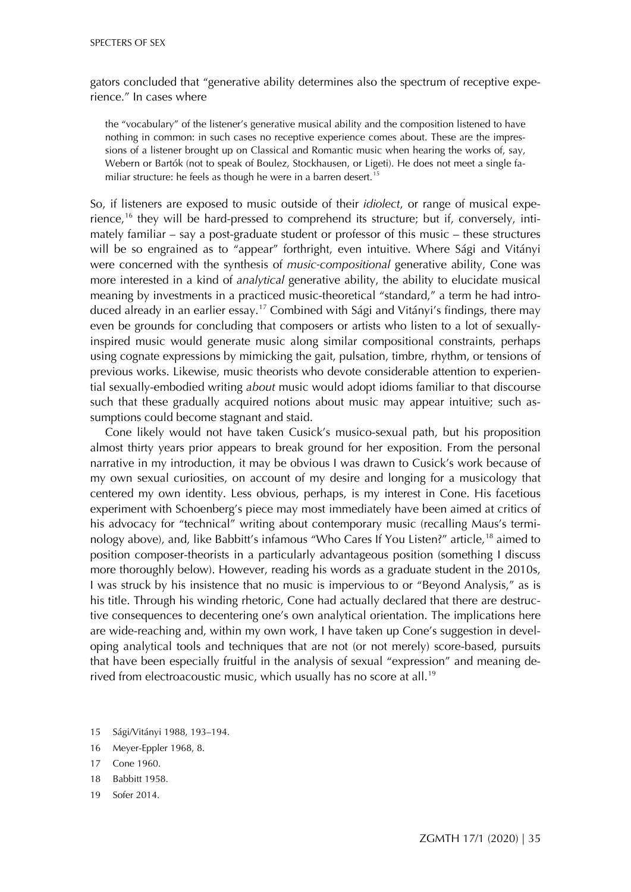gators concluded that "generative ability determines also the spectrum of receptive experience." In cases where

the "vocabulary" of the listener's generative musical ability and the composition listened to have nothing in common: in such cases no receptive experience comes about. These are the impressions of a listener brought up on Classical and Romantic music when hearing the works of, say, Webern or Bartók (not to speak of Boulez, Stockhausen, or Ligeti). He does not meet a single fa-miliar structure: he feels as though he were in a barren desert.<sup>[15](#page-4-0)</sup>

So, if listeners are exposed to music outside of their *idiolect*, or range of musical expe-rience,<sup>[16](#page-4-0)</sup> they will be hard-pressed to comprehend its structure; but if, conversely, intimately familiar – say a post-graduate student or professor of this music – these structures will be so engrained as to "appear" forthright, even intuitive. Where Sági and Vitányi were concerned with the synthesis of *music-compositional* generative ability, Cone was more interested in a kind of *analytical* generative ability, the ability to elucidate musical meaning by investments in a practiced music-theoretical "standard," a term he had intro-duced already in an earlier essay.<sup>[17](#page-4-0)</sup> Combined with Sági and Vitányi's findings, there may even be grounds for concluding that composers or artists who listen to a lot of sexuallyinspired music would generate music along similar compositional constraints, perhaps using cognate expressions by mimicking the gait, pulsation, timbre, rhythm, or tensions of previous works. Likewise, music theorists who devote considerable attention to experiential sexually-embodied writing *about* music would adopt idioms familiar to that discourse such that these gradually acquired notions about music may appear intuitive; such assumptions could become stagnant and staid.

Cone likely would not have taken Cusick's musico-sexual path, but his proposition almost thirty years prior appears to break ground for her exposition. From the personal narrative in my introduction, it may be obvious I was drawn to Cusick's work because of my own sexual curiosities, on account of my desire and longing for a musicology that centered my own identity. Less obvious, perhaps, is my interest in Cone. His facetious experiment with Schoenberg's piece may most immediately have been aimed at critics of his advocacy for "technical" writing about contemporary music (recalling Maus's termi-nology above), and, like Babbitt's infamous "Who Cares If You Listen?" article,<sup>[18](#page-4-0)</sup> aimed to position composer-theorists in a particularly advantageous position (something I discuss more thoroughly below). However, reading his words as a graduate student in the 2010s, I was struck by his insistence that no music is impervious to or "Beyond Analysis," as is his title. Through his winding rhetoric, Cone had actually declared that there are destructive consequences to decentering one's own analytical orientation. The implications here are wide-reaching and, within my own work, I have taken up Cone's suggestion in developing analytical tools and techniques that are not (or not merely) score-based, pursuits that have been especially fruitful in the analysis of sexual "expression" and meaning de-rived from electroacoustic music, which usually has no score at all.<sup>[19](#page-4-0)</sup>

- <span id="page-4-0"></span>15 Sági/Vitányi 1988, 193–194.
- 16 Meyer-Eppler 1968, 8.
- 17 Cone 1960.
- 18 Babbitt 1958.
- 19 Sofer 2014.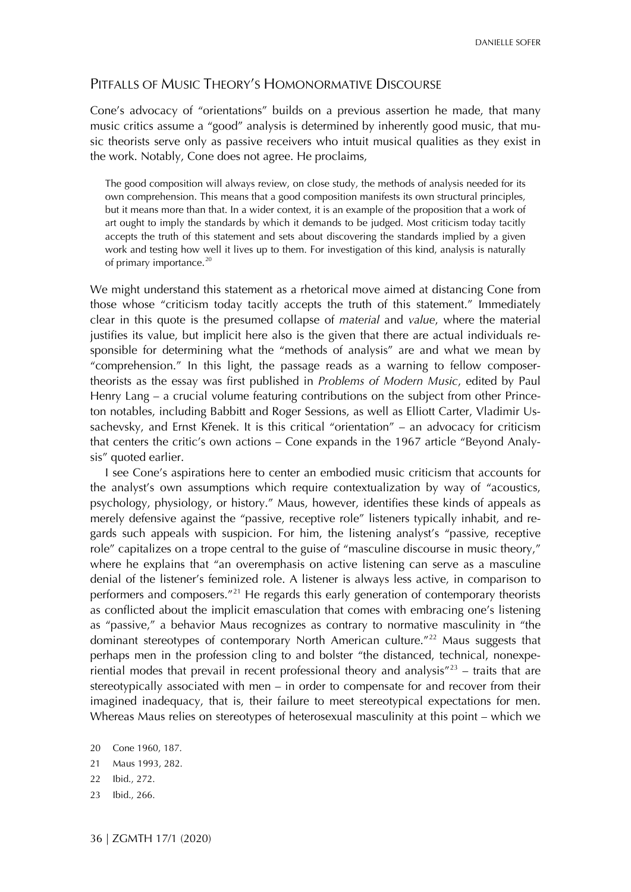#### PITFALLS OF MUSIC THEORY'S HOMONORMATIVE DISCOURSE

Cone's advocacy of "orientations" builds on a previous assertion he made, that many music critics assume a "good" analysis is determined by inherently good music, that music theorists serve only as passive receivers who intuit musical qualities as they exist in the work. Notably, Cone does not agree. He proclaims,

The good composition will always review, on close study, the methods of analysis needed for its own comprehension. This means that a good composition manifests its own structural principles, but it means more than that. In a wider context, it is an example of the proposition that a work of art ought to imply the standards by which it demands to be judged. Most criticism today tacitly accepts the truth of this statement and sets about discovering the standards implied by a given work and testing how well it lives up to them. For investigation of this kind, analysis is naturally of primary importance.<sup>[20](#page-5-0)</sup>

We might understand this statement as a rhetorical move aimed at distancing Cone from those whose "criticism today tacitly accepts the truth of this statement." Immediately clear in this quote is the presumed collapse of *material* and *value*, where the material justifies its value, but implicit here also is the given that there are actual individuals responsible for determining what the "methods of analysis" are and what we mean by "comprehension." In this light, the passage reads as a warning to fellow composertheorists as the essay was first published in *Problems of Modern Music*, edited by Paul Henry Lang – a crucial volume featuring contributions on the subject from other Princeton notables, including Babbitt and Roger Sessions, as well as Elliott Carter, Vladimir Ussachevsky, and Ernst Křenek. It is this critical "orientation" – an advocacy for criticism that centers the critic's own actions – Cone expands in the 1967 article "Beyond Analysis" quoted earlier.

I see Cone's aspirations here to center an embodied music criticism that accounts for the analyst's own assumptions which require contextualization by way of "acoustics, psychology, physiology, or history." Maus, however, identifies these kinds of appeals as merely defensive against the "passive, receptive role" listeners typically inhabit, and regards such appeals with suspicion. For him, the listening analyst's "passive, receptive role" capitalizes on a trope central to the guise of "masculine discourse in music theory," where he explains that "an overemphasis on active listening can serve as a masculine denial of the listener's feminized role. A listener is always less active, in comparison to performers and composers."<sup>[21](#page-5-0)</sup> He regards this early generation of contemporary theorists as conflicted about the implicit emasculation that comes with embracing one's listening as "passive," a behavior Maus recognizes as contrary to normative masculinity in "the dominant stereotypes of contemporary North American culture."<sup>[22](#page-5-0)</sup> Maus suggests that perhaps men in the profession cling to and bolster "the distanced, technical, nonexperiential modes that prevail in recent professional theory and analysis $723$  $723$  – traits that are stereotypically associated with men – in order to compensate for and recover from their imagined inadequacy, that is, their failure to meet stereotypical expectations for men. Whereas Maus relies on stereotypes of heterosexual masculinity at this point – which we

- 22 Ibid., 272.
- 23 Ibid., 266.

<span id="page-5-0"></span><sup>20</sup> Cone 1960, 187.

<sup>21</sup> Maus 1993, 282.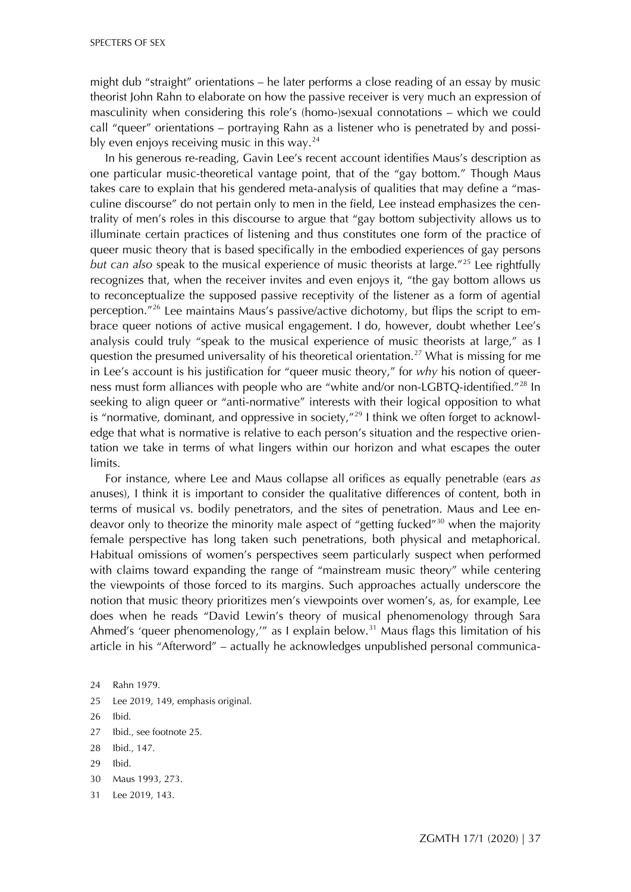might dub "straight" orientations – he later performs a close reading of an essay by music theorist John Rahn to elaborate on how the passive receiver is very much an expression of masculinity when considering this role's (homo-)sexual connotations – which we could call "queer" orientations – portraying Rahn as a listener who is penetrated by and possibly even enjoys receiving music in this way. $^{24}$  $^{24}$  $^{24}$ 

In his generous re-reading, Gavin Lee's recent account identifies Maus's description as one particular music-theoretical vantage point, that of the "gay bottom." Though Maus takes care to explain that his gendered meta-analysis of qualities that may define a "masculine discourse" do not pertain only to men in the field, Lee instead emphasizes the centrality of men's roles in this discourse to argue that "gay bottom subjectivity allows us to illuminate certain practices of listening and thus constitutes one form of the practice of queer music theory that is based specifically in the embodied experiences of gay persons *but can also* speak to the musical experience of music theorists at large."[25](#page-6-0) Lee rightfully recognizes that, when the receiver invites and even enjoys it, "the gay bottom allows us to reconceptualize the supposed passive receptivity of the listener as a form of agential perception."[26](#page-6-0) Lee maintains Maus's passive/active dichotomy, but flips the script to embrace queer notions of active musical engagement. I do, however, doubt whether Lee's analysis could truly "speak to the musical experience of music theorists at large," as I question the presumed universality of his theoretical orientation.<sup>[27](#page-6-0)</sup> What is missing for me in Lee's account is his justification for "queer music theory," for *why* his notion of queerness must form alliances with people who are "white and/or non-LGBTQ-identified."<sup>28</sup> In seeking to align queer or "anti-normative" interests with their logical opposition to what is "normative, dominant, and oppressive in society, $n^{29}$  $n^{29}$  $n^{29}$  I think we often forget to acknowledge that what is normative is relative to each person's situation and the respective orientation we take in terms of what lingers within our horizon and what escapes the outer limits.

For instance, where Lee and Maus collapse all orifices as equally penetrable (ears *as* anuses), I think it is important to consider the qualitative differences of content, both in terms of musical vs. bodily penetrators, and the sites of penetration. Maus and Lee en-deavor only to theorize the minority male aspect of "getting fucked"<sup>[30](#page-6-0)</sup> when the majority female perspective has long taken such penetrations, both physical and metaphorical. Habitual omissions of women's perspectives seem particularly suspect when performed with claims toward expanding the range of "mainstream music theory" while centering the viewpoints of those forced to its margins. Such approaches actually underscore the notion that music theory prioritizes men's viewpoints over women's, as, for example, Lee does when he reads "David Lewin's theory of musical phenomenology through Sara Ahmed's 'queer phenomenology,'" as I explain below.<sup>[31](#page-6-0)</sup> Maus flags this limitation of his article in his "Afterword" – actually he acknowledges unpublished personal communica-

- 25 Lee 2019, 149, emphasis original.
- 26 Ibid.
- 27 Ibid., see footnote 25.
- 28 Ibid., 147.
- 29 Ibid.
- 30 Maus 1993, 273.
- 31 Lee 2019, 143.

<span id="page-6-0"></span><sup>24</sup> Rahn 1979.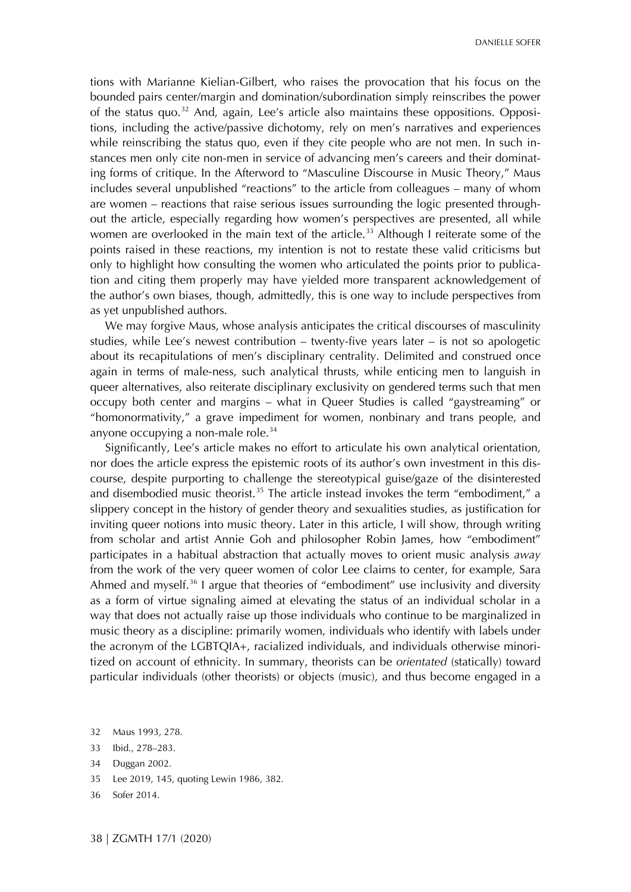DANIELLE SOFER

tions with Marianne Kielian-Gilbert, who raises the provocation that his focus on the bounded pairs center/margin and domination/subordination simply reinscribes the power of the status quo.<sup>[32](#page-7-0)</sup> And, again, Lee's article also maintains these oppositions. Oppositions, including the active/passive dichotomy, rely on men's narratives and experiences while reinscribing the status quo, even if they cite people who are not men. In such instances men only cite non-men in service of advancing men's careers and their dominating forms of critique. In the Afterword to "Masculine Discourse in Music Theory," Maus includes several unpublished "reactions" to the article from colleagues – many of whom are women – reactions that raise serious issues surrounding the logic presented throughout the article, especially regarding how women's perspectives are presented, all while women are overlooked in the main text of the article.<sup>33</sup> Although I reiterate some of the points raised in these reactions, my intention is not to restate these valid criticisms but only to highlight how consulting the women who articulated the points prior to publication and citing them properly may have yielded more transparent acknowledgement of the author's own biases, though, admittedly, this is one way to include perspectives from as yet unpublished authors.

We may forgive Maus, whose analysis anticipates the critical discourses of masculinity studies, while Lee's newest contribution – twenty-five years later – is not so apologetic about its recapitulations of men's disciplinary centrality. Delimited and construed once again in terms of male-ness, such analytical thrusts, while enticing men to languish in queer alternatives, also reiterate disciplinary exclusivity on gendered terms such that men occupy both center and margins – what in Queer Studies is called "gaystreaming" or "homonormativity," a grave impediment for women, nonbinary and trans people, and anyone occupying a non-male role. $34$ 

Significantly, Lee's article makes no effort to articulate his own analytical orientation, nor does the article express the epistemic roots of its author's own investment in this discourse, despite purporting to challenge the stereotypical guise/gaze of the disinterested and disembodied music theorist.<sup>[35](#page-7-0)</sup> The article instead invokes the term "embodiment," a slippery concept in the history of gender theory and sexualities studies, as justification for inviting queer notions into music theory. Later in this article, I will show, through writing from scholar and artist Annie Goh and philosopher Robin James, how "embodiment" participates in a habitual abstraction that actually moves to orient music analysis *away* from the work of the very queer women of color Lee claims to center, for example, Sara Ahmed and myself.<sup>[36](#page-7-0)</sup> I argue that theories of "embodiment" use inclusivity and diversity as a form of virtue signaling aimed at elevating the status of an individual scholar in a way that does not actually raise up those individuals who continue to be marginalized in music theory as a discipline: primarily women, individuals who identify with labels under the acronym of the LGBTQIA+, racialized individuals, and individuals otherwise minoritized on account of ethnicity. In summary, theorists can be *orientated* (statically) toward particular individuals (other theorists) or objects (music), and thus become engaged in a

- 33 Ibid., 278–283.
- 34 Duggan 2002.
- 35 Lee 2019, 145, quoting Lewin 1986, 382.
- 36 Sofer 2014.

<span id="page-7-0"></span><sup>32</sup> Maus 1993, 278.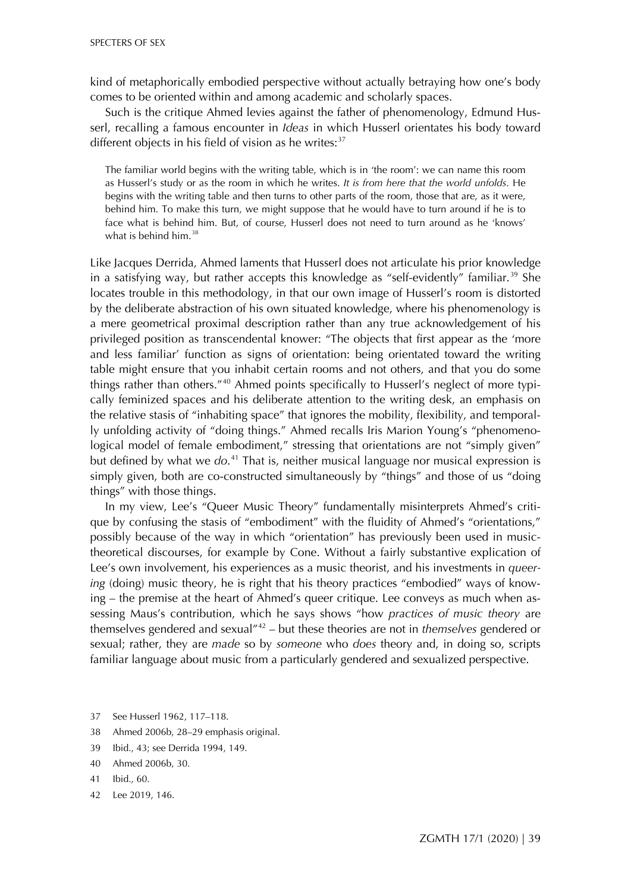kind of metaphorically embodied perspective without actually betraying how one's body comes to be oriented within and among academic and scholarly spaces.

Such is the critique Ahmed levies against the father of phenomenology, Edmund Husserl, recalling a famous encounter in *Ideas* in which Husserl orientates his body toward different objects in his field of vision as he writes: $37$ 

The familiar world begins with the writing table, which is in 'the room': we can name this room as Husserl's study or as the room in which he writes. *It is from here that the world unfolds*. He begins with the writing table and then turns to other parts of the room, those that are, as it were, behind him. To make this turn, we might suppose that he would have to turn around if he is to face what is behind him. But, of course, Husserl does not need to turn around as he 'knows' what is behind him. $38$ 

Like Jacques Derrida, Ahmed laments that Husserl does not articulate his prior knowledge in a satisfying way, but rather accepts this knowledge as "self-evidently" familiar.<sup>[39](#page-8-0)</sup> She locates trouble in this methodology, in that our own image of Husserl's room is distorted by the deliberate abstraction of his own situated knowledge, where his phenomenology is a mere geometrical proximal description rather than any true acknowledgement of his privileged position as transcendental knower: "The objects that first appear as the 'more and less familiar' function as signs of orientation: being orientated toward the writing table might ensure that you inhabit certain rooms and not others, and that you do some things rather than others."<sup>[40](#page-8-0)</sup> Ahmed points specifically to Husserl's neglect of more typically feminized spaces and his deliberate attention to the writing desk, an emphasis on the relative stasis of "inhabiting space" that ignores the mobility, flexibility, and temporally unfolding activity of "doing things." Ahmed recalls Iris Marion Young's "phenomenological model of female embodiment," stressing that orientations are not "simply given" but defined by what we *do*. [41](#page-8-0) That is, neither musical language nor musical expression is simply given, both are co-constructed simultaneously by "things" and those of us "doing things" with those things.

In my view, Lee's "Queer Music Theory" fundamentally misinterprets Ahmed's critique by confusing the stasis of "embodiment" with the fluidity of Ahmed's "orientations," possibly because of the way in which "orientation" has previously been used in musictheoretical discourses, for example by Cone. Without a fairly substantive explication of Lee's own involvement, his experiences as a music theorist, and his investments in *queering* (doing) music theory, he is right that his theory practices "embodied" ways of knowing – the premise at the heart of Ahmed's queer critique. Lee conveys as much when assessing Maus's contribution, which he says shows "how *practices of music theory* are themselves gendered and sexual"[42](#page-8-0) – but these theories are not in *themselves* gendered or sexual; rather, they are *made* so by *someone* who *does* theory and, in doing so, scripts familiar language about music from a particularly gendered and sexualized perspective.

- <span id="page-8-0"></span>37 See Husserl 1962, 117–118.
- 38 Ahmed 2006b, 28–29 emphasis original.
- 39 Ibid., 43; see Derrida 1994, 149.
- 40 Ahmed 2006b, 30.
- 41 Ibid., 60.
- 42 Lee 2019, 146.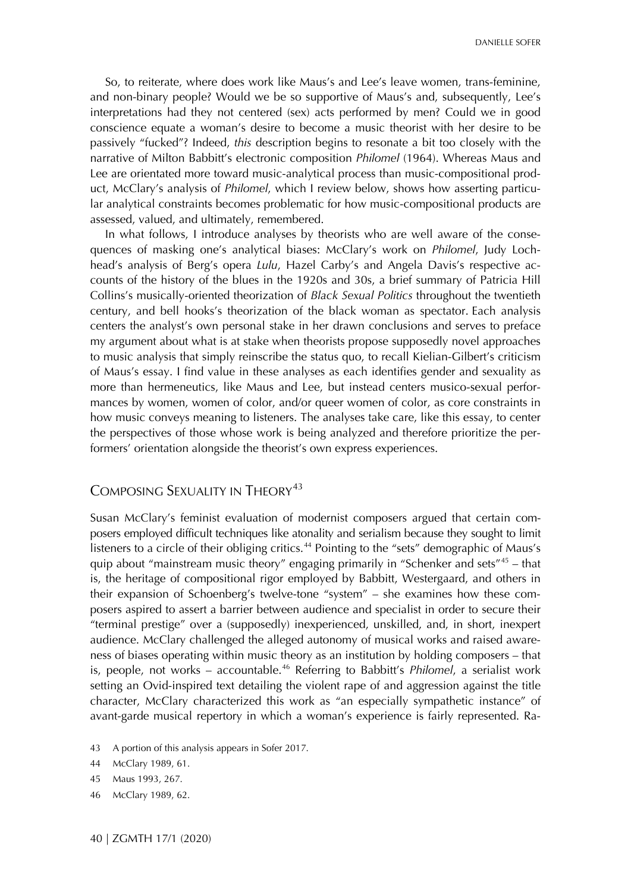So, to reiterate, where does work like Maus's and Lee's leave women, trans-feminine, and non-binary people? Would we be so supportive of Maus's and, subsequently, Lee's interpretations had they not centered (sex) acts performed by men? Could we in good conscience equate a woman's desire to become a music theorist with her desire to be passively "fucked"? Indeed, *this* description begins to resonate a bit too closely with the narrative of Milton Babbitt's electronic composition *Philomel* (1964). Whereas Maus and Lee are orientated more toward music-analytical process than music-compositional product, McClary's analysis of *Philomel*, which I review below, shows how asserting particular analytical constraints becomes problematic for how music-compositional products are assessed, valued, and ultimately, remembered.

In what follows, I introduce analyses by theorists who are well aware of the consequences of masking one's analytical biases: McClary's work on *Philomel*, Judy Lochhead's analysis of Berg's opera *Lulu*, Hazel Carby's and Angela Davis's respective accounts of the history of the blues in the 1920s and 30s, a brief summary of Patricia Hill Collins's musically-oriented theorization of *Black Sexual Politics* throughout the twentieth century, and bell hooks's theorization of the black woman as spectator. Each analysis centers the analyst's own personal stake in her drawn conclusions and serves to preface my argument about what is at stake when theorists propose supposedly novel approaches to music analysis that simply reinscribe the status quo, to recall Kielian-Gilbert's criticism of Maus's essay. I find value in these analyses as each identifies gender and sexuality as more than hermeneutics, like Maus and Lee, but instead centers musico-sexual performances by women, women of color, and/or queer women of color, as core constraints in how music conveys meaning to listeners. The analyses take care, like this essay, to center the perspectives of those whose work is being analyzed and therefore prioritize the performers' orientation alongside the theorist's own express experiences.

#### COMPOSING SEXUALITY IN THEORY<sup>[43](#page-9-0)</sup>

Susan McClary's feminist evaluation of modernist composers argued that certain composers employed difficult techniques like atonality and serialism because they sought to limit listeners to a circle of their obliging critics.<sup>[44](#page-9-0)</sup> Pointing to the "sets" demographic of Maus's quip about "mainstream music theory" engaging primarily in "Schenker and sets"<sup>[45](#page-9-0)</sup> – that is, the heritage of compositional rigor employed by Babbitt, Westergaard, and others in their expansion of Schoenberg's twelve-tone "system" – she examines how these composers aspired to assert a barrier between audience and specialist in order to secure their "terminal prestige" over a (supposedly) inexperienced, unskilled, and, in short, inexpert audience. McClary challenged the alleged autonomy of musical works and raised awareness of biases operating within music theory as an institution by holding composers – that is, people, not works – accountable.[46](#page-9-0) Referring to Babbitt's *Philomel*, a serialist work setting an Ovid-inspired text detailing the violent rape of and aggression against the title character, McClary characterized this work as "an especially sympathetic instance" of avant-garde musical repertory in which a woman's experience is fairly represented. Ra-

- <span id="page-9-0"></span>43 A portion of this analysis appears in Sofer 2017.
- 44 McClary 1989, 61.
- 45 Maus 1993, 267.
- 46 McClary 1989, 62.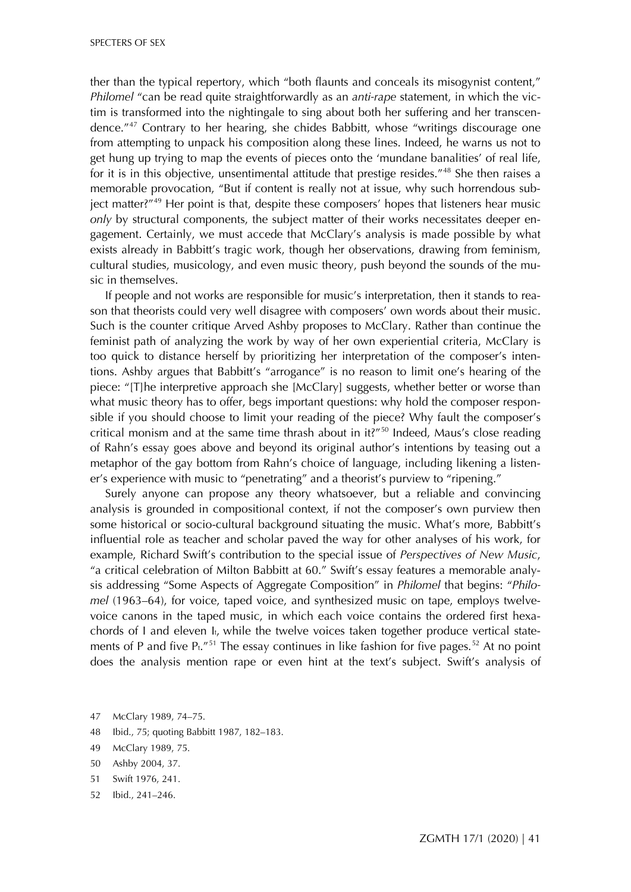ther than the typical repertory, which "both flaunts and conceals its misogynist content," *Philomel* "can be read quite straightforwardly as an *anti-rape* statement, in which the victim is transformed into the nightingale to sing about both her suffering and her transcendence."[47](#page-10-0) Contrary to her hearing, she chides Babbitt, whose "writings discourage one from attempting to unpack his composition along these lines. Indeed, he warns us not to get hung up trying to map the events of pieces onto the 'mundane banalities' of real life, for it is in this objective, unsentimental attitude that prestige resides."<sup>[48](#page-10-0)</sup> She then raises a memorable provocation, "But if content is really not at issue, why such horrendous sub-ject matter?"<sup>[49](#page-10-0)</sup> Her point is that, despite these composers' hopes that listeners hear music *only* by structural components, the subject matter of their works necessitates deeper engagement. Certainly, we must accede that McClary's analysis is made possible by what exists already in Babbitt's tragic work, though her observations, drawing from feminism, cultural studies, musicology, and even music theory, push beyond the sounds of the music in themselves.

If people and not works are responsible for music's interpretation, then it stands to reason that theorists could very well disagree with composers' own words about their music. Such is the counter critique Arved Ashby proposes to McClary. Rather than continue the feminist path of analyzing the work by way of her own experiential criteria, McClary is too quick to distance herself by prioritizing her interpretation of the composer's intentions. Ashby argues that Babbitt's "arrogance" is no reason to limit one's hearing of the piece: "[T]he interpretive approach she [McClary] suggests, whether better or worse than what music theory has to offer, begs important questions: why hold the composer responsible if you should choose to limit your reading of the piece? Why fault the composer's critical monism and at the same time thrash about in it?"<sup>[50](#page-10-0)</sup> Indeed, Maus's close reading of Rahn's essay goes above and beyond its original author's intentions by teasing out a metaphor of the gay bottom from Rahn's choice of language, including likening a listener's experience with music to "penetrating" and a theorist's purview to "ripening."

Surely anyone can propose any theory whatsoever, but a reliable and convincing analysis is grounded in compositional context, if not the composer's own purview then some historical or socio-cultural background situating the music. What's more, Babbitt's influential role as teacher and scholar paved the way for other analyses of his work, for example, Richard Swift's contribution to the special issue of *Perspectives of New Music*, "a critical celebration of Milton Babbitt at 60." Swift's essay features a memorable analysis addressing "Some Aspects of Aggregate Composition" in *Philomel* that begins: "*Philomel* (1963–64), for voice, taped voice, and synthesized music on tape, employs twelvevoice canons in the taped music, in which each voice contains the ordered first hexachords of I and eleven It, while the twelve voices taken together produce vertical statements of P and five  $\text{Pt}$ ."<sup>[51](#page-10-0)</sup> The essay continues in like fashion for five pages.<sup>[52](#page-10-0)</sup> At no point does the analysis mention rape or even hint at the text's subject. Swift's analysis of

- <span id="page-10-0"></span>47 McClary 1989, 74–75.
- 48 Ibid., 75; quoting Babbitt 1987, 182–183.
- 49 McClary 1989, 75.
- 50 Ashby 2004, 37.
- 51 Swift 1976, 241.
- 52 Ibid., 241–246.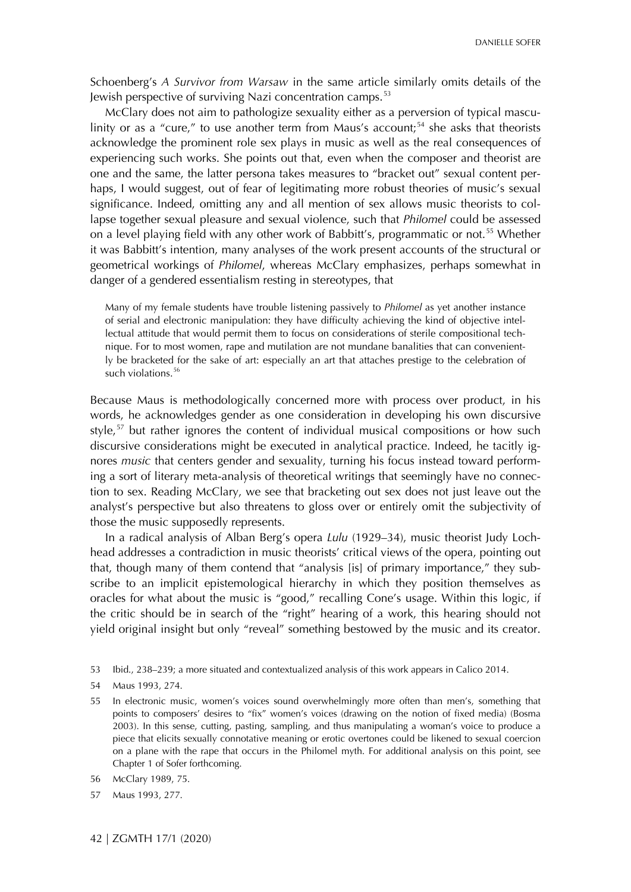Schoenberg's *A Survivor from Warsaw* in the same article similarly omits details of the Jewish perspective of surviving Nazi concentration camps.<sup>[53](#page-11-0)</sup>

McClary does not aim to pathologize sexuality either as a perversion of typical mascu-linity or as a "cure," to use another term from Maus's account;<sup>[54](#page-11-0)</sup> she asks that theorists acknowledge the prominent role sex plays in music as well as the real consequences of experiencing such works. She points out that, even when the composer and theorist are one and the same, the latter persona takes measures to "bracket out" sexual content perhaps, I would suggest, out of fear of legitimating more robust theories of music's sexual significance. Indeed, omitting any and all mention of sex allows music theorists to collapse together sexual pleasure and sexual violence, such that *Philomel* could be assessed on a level playing field with any other work of Babbitt's, programmatic or not.<sup>[55](#page-11-0)</sup> Whether it was Babbitt's intention, many analyses of the work present accounts of the structural or geometrical workings of *Philomel*, whereas McClary emphasizes, perhaps somewhat in danger of a gendered essentialism resting in stereotypes, that

Many of my female students have trouble listening passively to *Philomel* as yet another instance of serial and electronic manipulation: they have difficulty achieving the kind of objective intellectual attitude that would permit them to focus on considerations of sterile compositional technique. For to most women, rape and mutilation are not mundane banalities that can conveniently be bracketed for the sake of art: especially an art that attaches prestige to the celebration of such violations.<sup>[56](#page-11-0)</sup>

Because Maus is methodologically concerned more with process over product, in his words, he acknowledges gender as one consideration in developing his own discursive style,<sup>[57](#page-11-0)</sup> but rather ignores the content of individual musical compositions or how such discursive considerations might be executed in analytical practice. Indeed, he tacitly ignores *music* that centers gender and sexuality, turning his focus instead toward performing a sort of literary meta-analysis of theoretical writings that seemingly have no connection to sex. Reading McClary, we see that bracketing out sex does not just leave out the analyst's perspective but also threatens to gloss over or entirely omit the subjectivity of those the music supposedly represents.

In a radical analysis of Alban Berg's opera *Lulu* (1929–34), music theorist Judy Lochhead addresses a contradiction in music theorists' critical views of the opera, pointing out that, though many of them contend that "analysis [is] of primary importance," they subscribe to an implicit epistemological hierarchy in which they position themselves as oracles for what about the music is "good," recalling Cone's usage. Within this logic, if the critic should be in search of the "right" hearing of a work, this hearing should not yield original insight but only "reveal" something bestowed by the music and its creator.

- 56 McClary 1989, 75.
- 57 Maus 1993, 277.

<span id="page-11-0"></span><sup>53</sup> Ibid., 238–239; a more situated and contextualized analysis of this work appears in Calico 2014.

<sup>54</sup> Maus 1993, 274.

<sup>55</sup> In electronic music, women's voices sound overwhelmingly more often than men's, something that points to composers' desires to "fix" women's voices (drawing on the notion of fixed media) (Bosma 2003). In this sense, cutting, pasting, sampling, and thus manipulating a woman's voice to produce a piece that elicits sexually connotative meaning or erotic overtones could be likened to sexual coercion on a plane with the rape that occurs in the Philomel myth. For additional analysis on this point, see Chapter 1 of Sofer forthcoming.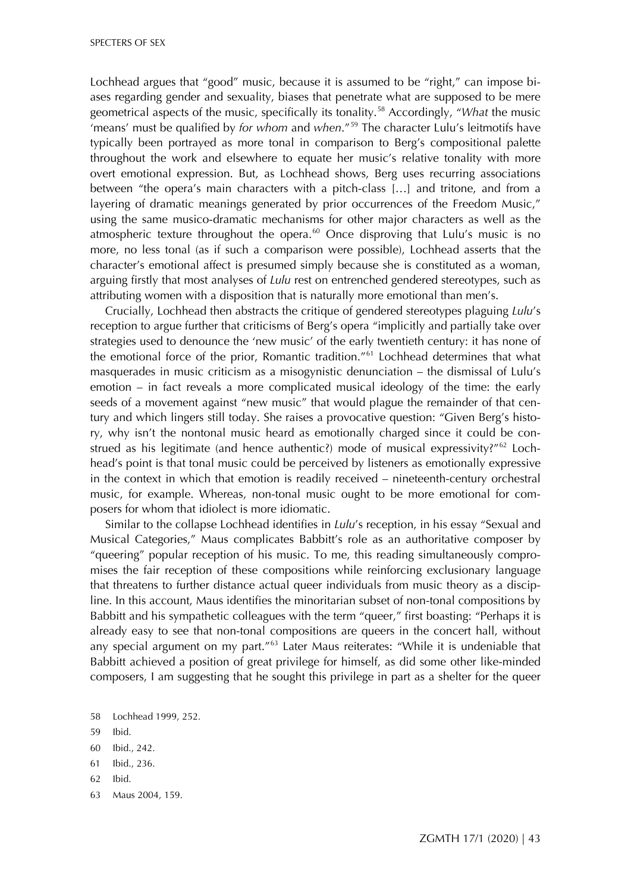Lochhead argues that "good" music, because it is assumed to be "right," can impose biases regarding gender and sexuality, biases that penetrate what are supposed to be mere geometrical aspects of the music, specifically its tonality.[58](#page-12-0) Accordingly, "*What* the music 'means' must be qualified by *for whom* and *when*."[59](#page-12-0) The character Lulu's leitmotifs have typically been portrayed as more tonal in comparison to Berg's compositional palette throughout the work and elsewhere to equate her music's relative tonality with more overt emotional expression. But, as Lochhead shows, Berg uses recurring associations between "the opera's main characters with a pitch-class […] and tritone, and from a layering of dramatic meanings generated by prior occurrences of the Freedom Music," using the same musico-dramatic mechanisms for other major characters as well as the atmospheric texture throughout the opera.<sup>[60](#page-12-0)</sup> Once disproving that Lulu's music is no more, no less tonal (as if such a comparison were possible), Lochhead asserts that the character's emotional affect is presumed simply because she is constituted as a woman, arguing firstly that most analyses of *Lulu* rest on entrenched gendered stereotypes, such as attributing women with a disposition that is naturally more emotional than men's.

Crucially, Lochhead then abstracts the critique of gendered stereotypes plaguing *Lulu*'s reception to argue further that criticisms of Berg's opera "implicitly and partially take over strategies used to denounce the 'new music' of the early twentieth century: it has none of the emotional force of the prior, Romantic tradition."<sup>[61](#page-12-0)</sup> Lochhead determines that what masquerades in music criticism as a misogynistic denunciation – the dismissal of Lulu's emotion – in fact reveals a more complicated musical ideology of the time: the early seeds of a movement against "new music" that would plague the remainder of that century and which lingers still today. She raises a provocative question: "Given Berg's history, why isn't the nontonal music heard as emotionally charged since it could be construed as his legitimate (and hence authentic?) mode of musical expressivity?" $62$  Lochhead's point is that tonal music could be perceived by listeners as emotionally expressive in the context in which that emotion is readily received – nineteenth-century orchestral music, for example. Whereas, non-tonal music ought to be more emotional for composers for whom that idiolect is more idiomatic.

Similar to the collapse Lochhead identifies in *Lulu*'s reception, in his essay "Sexual and Musical Categories," Maus complicates Babbitt's role as an authoritative composer by "queering" popular reception of his music. To me, this reading simultaneously compromises the fair reception of these compositions while reinforcing exclusionary language that threatens to further distance actual queer individuals from music theory as a discipline. In this account, Maus identifies the minoritarian subset of non-tonal compositions by Babbitt and his sympathetic colleagues with the term "queer," first boasting: "Perhaps it is already easy to see that non-tonal compositions are queers in the concert hall, without any special argument on my part."<sup>[63](#page-12-0)</sup> Later Maus reiterates: "While it is undeniable that Babbitt achieved a position of great privilege for himself, as did some other like-minded composers, I am suggesting that he sought this privilege in part as a shelter for the queer

- 59 Ibid.
- 60 Ibid., 242.
- 61 Ibid., 236.
- 62 Ibid.
- 63 Maus 2004, 159.

<span id="page-12-0"></span><sup>58</sup> Lochhead 1999, 252.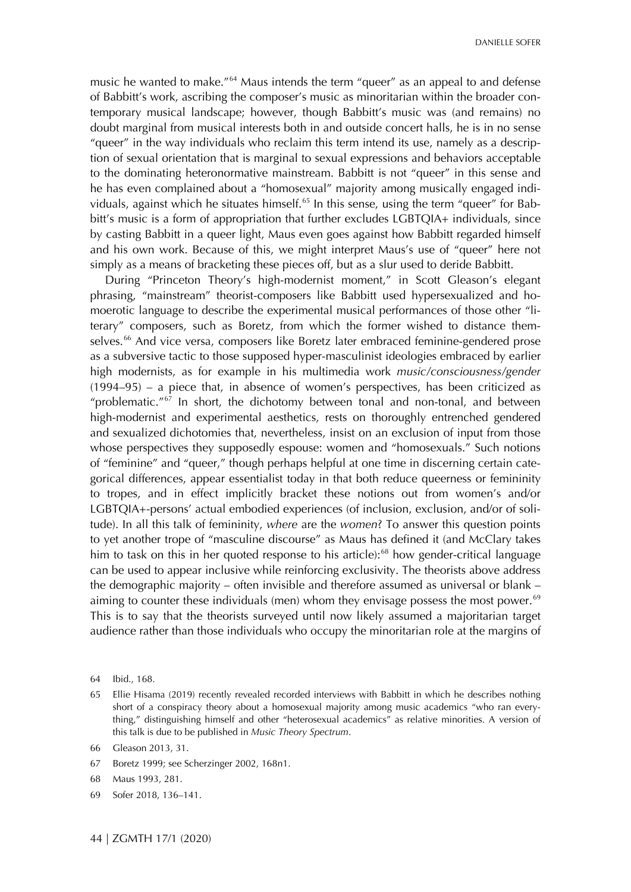music he wanted to make."<sup>[64](#page-13-0)</sup> Maus intends the term "queer" as an appeal to and defense of Babbitt's work, ascribing the composer's music as minoritarian within the broader contemporary musical landscape; however, though Babbitt's music was (and remains) no doubt marginal from musical interests both in and outside concert halls, he is in no sense "queer" in the way individuals who reclaim this term intend its use, namely as a description of sexual orientation that is marginal to sexual expressions and behaviors acceptable to the dominating heteronormative mainstream. Babbitt is not "queer" in this sense and he has even complained about a "homosexual" majority among musically engaged indi-viduals, against which he situates himself.<sup>[65](#page-13-0)</sup> In this sense, using the term "queer" for Babbitt's music is a form of appropriation that further excludes LGBTQIA+ individuals, since by casting Babbitt in a queer light, Maus even goes against how Babbitt regarded himself and his own work. Because of this, we might interpret Maus's use of "queer" here not simply as a means of bracketing these pieces off, but as a slur used to deride Babbitt.

During "Princeton Theory's high-modernist moment," in Scott Gleason's elegant phrasing, "mainstream" theorist-composers like Babbitt used hypersexualized and homoerotic language to describe the experimental musical performances of those other "literary" composers, such as Boretz, from which the former wished to distance them-selves.<sup>[66](#page-13-0)</sup> And vice versa, composers like Boretz later embraced feminine-gendered prose as a subversive tactic to those supposed hyper-masculinist ideologies embraced by earlier high modernists, as for example in his multimedia work *music/consciousness/gender* (1994–95) – a piece that, in absence of women's perspectives, has been criticized as "problematic."<sup>[67](#page-13-0)</sup> In short, the dichotomy between tonal and non-tonal, and between high-modernist and experimental aesthetics, rests on thoroughly entrenched gendered and sexualized dichotomies that, nevertheless, insist on an exclusion of input from those whose perspectives they supposedly espouse: women and "homosexuals." Such notions of "feminine" and "queer," though perhaps helpful at one time in discerning certain categorical differences, appear essentialist today in that both reduce queerness or femininity to tropes, and in effect implicitly bracket these notions out from women's and/or LGBTQIA+-persons' actual embodied experiences (of inclusion, exclusion, and/or of solitude). In all this talk of femininity, *where* are the *women*? To answer this question points to yet another trope of "masculine discourse" as Maus has defined it (and McClary takes him to task on this in her quoted response to his article):<sup>[68](#page-13-0)</sup> how gender-critical language can be used to appear inclusive while reinforcing exclusivity. The theorists above address the demographic majority – often invisible and therefore assumed as universal or blank – aiming to counter these individuals (men) whom they envisage possess the most power.<sup>[69](#page-13-0)</sup> This is to say that the theorists surveyed until now likely assumed a majoritarian target audience rather than those individuals who occupy the minoritarian role at the margins of

- 67 Boretz 1999; see Scherzinger 2002, 168n1.
- 68 Maus 1993, 281.
- 69 Sofer 2018, 136–141.

<span id="page-13-0"></span><sup>64</sup> Ibid., 168.

<sup>65</sup> Ellie Hisama (2019) recently revealed recorded interviews with Babbitt in which he describes nothing short of a conspiracy theory about a homosexual majority among music academics "who ran everything," distinguishing himself and other "heterosexual academics" as relative minorities. A version of this talk is due to be published in *Music Theory Spectrum*.

<sup>66</sup> Gleason 2013, 31.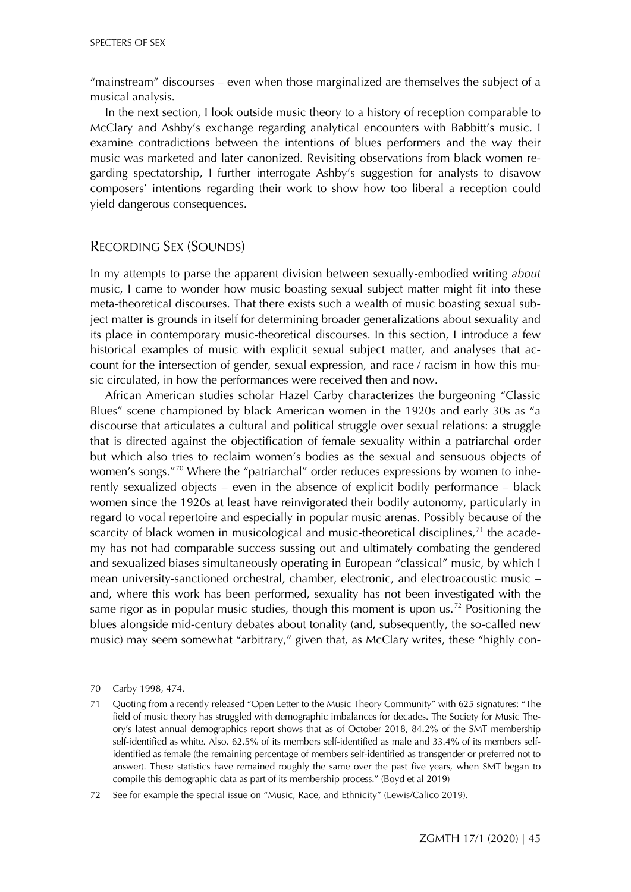"mainstream" discourses – even when those marginalized are themselves the subject of a musical analysis.

In the next section, I look outside music theory to a history of reception comparable to McClary and Ashby's exchange regarding analytical encounters with Babbitt's music. I examine contradictions between the intentions of blues performers and the way their music was marketed and later canonized. Revisiting observations from black women regarding spectatorship, I further interrogate Ashby's suggestion for analysts to disavow composers' intentions regarding their work to show how too liberal a reception could yield dangerous consequences.

#### RECORDING SEX (SOUNDS)

In my attempts to parse the apparent division between sexually-embodied writing *about* music, I came to wonder how music boasting sexual subject matter might fit into these meta-theoretical discourses. That there exists such a wealth of music boasting sexual subject matter is grounds in itself for determining broader generalizations about sexuality and its place in contemporary music-theoretical discourses. In this section, I introduce a few historical examples of music with explicit sexual subject matter, and analyses that account for the intersection of gender, sexual expression, and race / racism in how this music circulated, in how the performances were received then and now.

African American studies scholar Hazel Carby characterizes the burgeoning "Classic Blues" scene championed by black American women in the 1920s and early 30s as "a discourse that articulates a cultural and political struggle over sexual relations: a struggle that is directed against the objectification of female sexuality within a patriarchal order but which also tries to reclaim women's bodies as the sexual and sensuous objects of women's songs."<sup>[70](#page-14-0)</sup> Where the "patriarchal" order reduces expressions by women to inherently sexualized objects – even in the absence of explicit bodily performance – black women since the 1920s at least have reinvigorated their bodily autonomy, particularly in regard to vocal repertoire and especially in popular music arenas. Possibly because of the scarcity of black women in musicological and music-theoretical disciplines, $<sup>71</sup>$  $<sup>71</sup>$  $<sup>71</sup>$  the acade-</sup> my has not had comparable success sussing out and ultimately combating the gendered and sexualized biases simultaneously operating in European "classical" music, by which I mean university-sanctioned orchestral, chamber, electronic, and electroacoustic music – and, where this work has been performed, sexuality has not been investigated with the same rigor as in popular music studies, though this moment is upon us.<sup>[72](#page-14-0)</sup> Positioning the blues alongside mid-century debates about tonality (and, subsequently, the so-called new music) may seem somewhat "arbitrary," given that, as McClary writes, these "highly con-

<span id="page-14-0"></span><sup>70</sup> Carby 1998, 474.

<sup>71</sup> Quoting from a recently released "Open Letter to the Music Theory Community" with 625 signatures: "The field of music theory has struggled with demographic imbalances for decades. The Society for Music Theory's latest annual demographics report shows that as of October 2018, 84.2% of the SMT membership self-identified as white. Also, 62.5% of its members self-identified as male and 33.4% of its members selfidentified as female (the remaining percentage of members self-identified as transgender or preferred not to answer). These statistics have remained roughly the same over the past five years, when SMT began to compile this demographic data as part of its membership process." (Boyd et al 2019)

<sup>72</sup> See for example the special issue on "Music, Race, and Ethnicity" (Lewis/Calico 2019).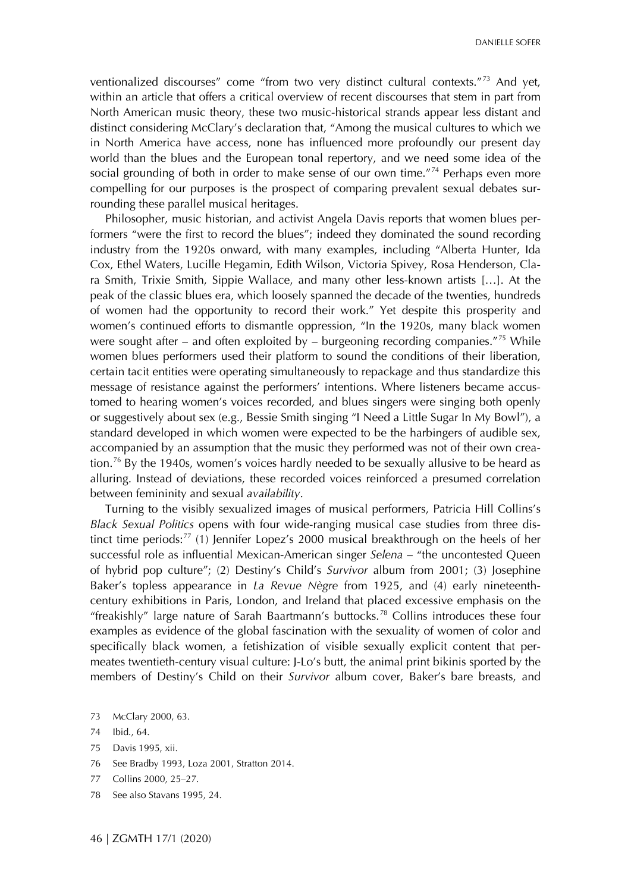ventionalized discourses" come "from two very distinct cultural contexts."<sup>[73](#page-15-0)</sup> And yet, within an article that offers a critical overview of recent discourses that stem in part from North American music theory, these two music-historical strands appear less distant and distinct considering McClary's declaration that, "Among the musical cultures to which we in North America have access, none has influenced more profoundly our present day world than the blues and the European tonal repertory, and we need some idea of the social grounding of both in order to make sense of our own time."<sup>[74](#page-15-0)</sup> Perhaps even more compelling for our purposes is the prospect of comparing prevalent sexual debates surrounding these parallel musical heritages.

Philosopher, music historian, and activist Angela Davis reports that women blues performers "were the first to record the blues"; indeed they dominated the sound recording industry from the 1920s onward, with many examples, including "Alberta Hunter, Ida Cox, Ethel Waters, Lucille Hegamin, Edith Wilson, Victoria Spivey, Rosa Henderson, Clara Smith, Trixie Smith, Sippie Wallace, and many other less-known artists […]. At the peak of the classic blues era, which loosely spanned the decade of the twenties, hundreds of women had the opportunity to record their work." Yet despite this prosperity and women's continued efforts to dismantle oppression, "In the 1920s, many black women were sought after – and often exploited by – burgeoning recording companies."<sup>[75](#page-15-0)</sup> While women blues performers used their platform to sound the conditions of their liberation, certain tacit entities were operating simultaneously to repackage and thus standardize this message of resistance against the performers' intentions. Where listeners became accustomed to hearing women's voices recorded, and blues singers were singing both openly or suggestively about sex (e.g., Bessie Smith singing "I Need a Little Sugar In My Bowl"), a standard developed in which women were expected to be the harbingers of audible sex, accompanied by an assumption that the music they performed was not of their own crea-tion.<sup>[76](#page-15-0)</sup> By the 1940s, women's voices hardly needed to be sexually allusive to be heard as alluring. Instead of deviations, these recorded voices reinforced a presumed correlation between femininity and sexual *availability*.

Turning to the visibly sexualized images of musical performers, Patricia Hill Collins's *Black Sexual Politics* opens with four wide-ranging musical case studies from three distinct time periods: $77$  (1) Jennifer Lopez's 2000 musical breakthrough on the heels of her successful role as influential Mexican-American singer *Selena* – "the uncontested Queen of hybrid pop culture"; (2) Destiny's Child's *Survivor* album from 2001; (3) Josephine Baker's topless appearance in *La Revue Nègre* from 1925, and (4) early nineteenthcentury exhibitions in Paris, London, and Ireland that placed excessive emphasis on the "freakishly" large nature of Sarah Baartmann's buttocks.<sup>[78](#page-15-0)</sup> Collins introduces these four examples as evidence of the global fascination with the sexuality of women of color and specifically black women, a fetishization of visible sexually explicit content that permeates twentieth-century visual culture: J-Lo's butt, the animal print bikinis sported by the members of Destiny's Child on their *Survivor* album cover, Baker's bare breasts, and

- <span id="page-15-0"></span>73 McClary 2000, 63.
- 74 Ibid., 64.
- 75 Davis 1995, xii.
- 76 See Bradby 1993, Loza 2001, Stratton 2014.
- 77 Collins 2000, 25–27.
- 78 See also Stavans 1995, 24.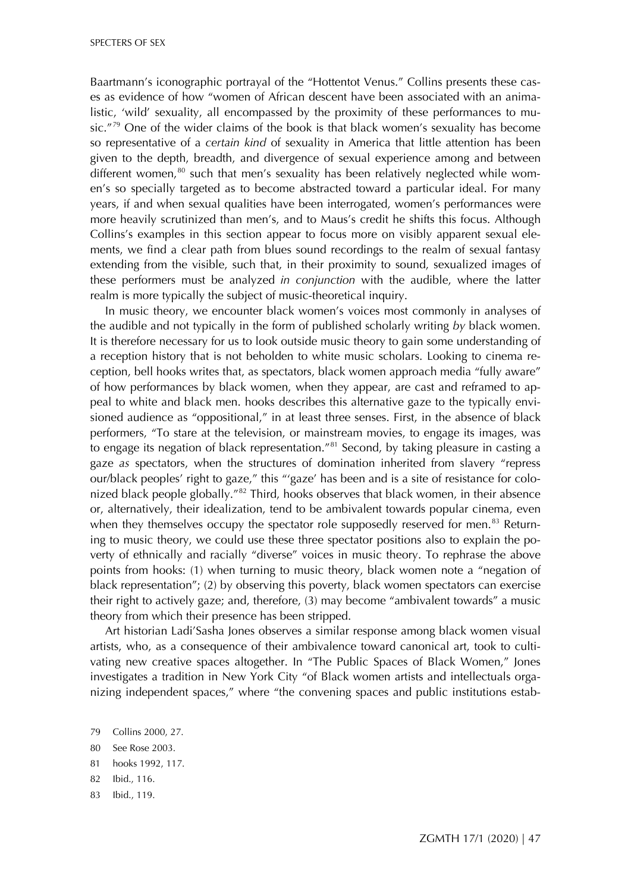Baartmann's iconographic portrayal of the "Hottentot Venus." Collins presents these cases as evidence of how "women of African descent have been associated with an animalistic, 'wild' sexuality, all encompassed by the proximity of these performances to mu-sic."<sup>[79](#page-16-0)</sup> One of the wider claims of the book is that black women's sexuality has become so representative of a *certain kind* of sexuality in America that little attention has been given to the depth, breadth, and divergence of sexual experience among and between different women, $80$  such that men's sexuality has been relatively neglected while women's so specially targeted as to become abstracted toward a particular ideal. For many years, if and when sexual qualities have been interrogated, women's performances were more heavily scrutinized than men's, and to Maus's credit he shifts this focus. Although Collins's examples in this section appear to focus more on visibly apparent sexual elements, we find a clear path from blues sound recordings to the realm of sexual fantasy extending from the visible, such that, in their proximity to sound, sexualized images of these performers must be analyzed *in conjunction* with the audible, where the latter realm is more typically the subject of music-theoretical inquiry.

In music theory, we encounter black women's voices most commonly in analyses of the audible and not typically in the form of published scholarly writing *by* black women. It is therefore necessary for us to look outside music theory to gain some understanding of a reception history that is not beholden to white music scholars. Looking to cinema reception, bell hooks writes that, as spectators, black women approach media "fully aware" of how performances by black women, when they appear, are cast and reframed to appeal to white and black men. hooks describes this alternative gaze to the typically envisioned audience as "oppositional," in at least three senses. First, in the absence of black performers, "To stare at the television, or mainstream movies, to engage its images, was to engage its negation of black representation."<sup>[81](#page-16-0)</sup> Second, by taking pleasure in casting a gaze *as* spectators, when the structures of domination inherited from slavery "repress our/black peoples' right to gaze," this "'gaze' has been and is a site of resistance for colonized black people globally." $82$  Third, hooks observes that black women, in their absence or, alternatively, their idealization, tend to be ambivalent towards popular cinema, even when they themselves occupy the spectator role supposedly reserved for men. $83$  Returning to music theory, we could use these three spectator positions also to explain the poverty of ethnically and racially "diverse" voices in music theory. To rephrase the above points from hooks: (1) when turning to music theory, black women note a "negation of black representation"; (2) by observing this poverty, black women spectators can exercise their right to actively gaze; and, therefore, (3) may become "ambivalent towards" a music theory from which their presence has been stripped.

Art historian Ladi'Sasha Jones observes a similar response among black women visual artists, who, as a consequence of their ambivalence toward canonical art, took to cultivating new creative spaces altogether. In "The Public Spaces of Black Women," Jones investigates a tradition in New York City "of Black women artists and intellectuals organizing independent spaces," where "the convening spaces and public institutions estab-

- 82 Ibid., 116.
- 83 Ibid., 119.

<span id="page-16-0"></span><sup>79</sup> Collins 2000, 27.

<sup>80</sup> See Rose 2003.

<sup>81</sup> hooks 1992, 117.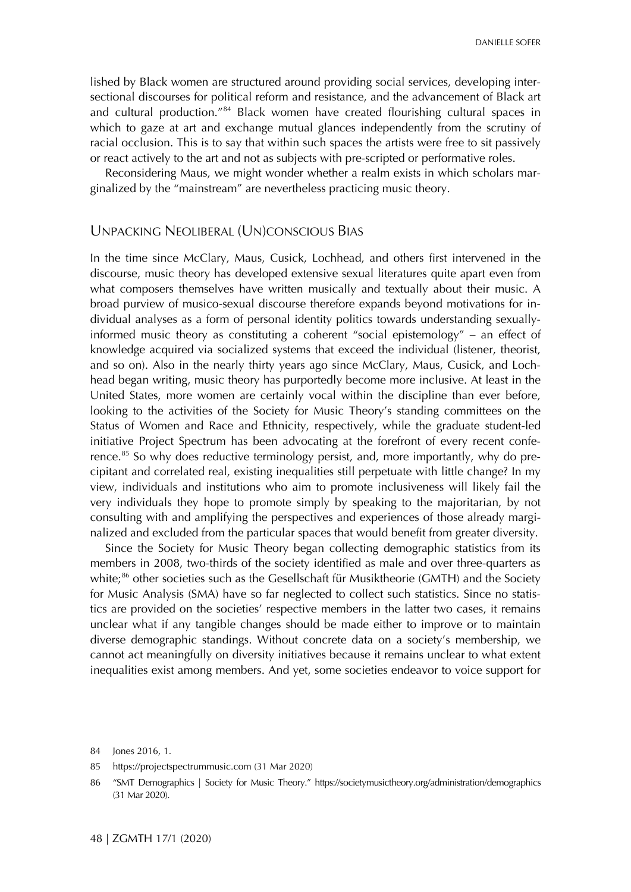DANIELLE SOFER

lished by Black women are structured around providing social services, developing intersectional discourses for political reform and resistance, and the advancement of Black art and cultural production."<sup>[84](#page-17-0)</sup> Black women have created flourishing cultural spaces in which to gaze at art and exchange mutual glances independently from the scrutiny of racial occlusion. This is to say that within such spaces the artists were free to sit passively or react actively to the art and not as subjects with pre-scripted or performative roles.

Reconsidering Maus, we might wonder whether a realm exists in which scholars marginalized by the "mainstream" are nevertheless practicing music theory.

#### UNPACKING NEOLIBERAL (UN)CONSCIOUS BIAS

In the time since McClary, Maus, Cusick, Lochhead, and others first intervened in the discourse, music theory has developed extensive sexual literatures quite apart even from what composers themselves have written musically and textually about their music. A broad purview of musico-sexual discourse therefore expands beyond motivations for individual analyses as a form of personal identity politics towards understanding sexuallyinformed music theory as constituting a coherent "social epistemology" – an effect of knowledge acquired via socialized systems that exceed the individual (listener, theorist, and so on). Also in the nearly thirty years ago since McClary, Maus, Cusick, and Lochhead began writing, music theory has purportedly become more inclusive. At least in the United States, more women are certainly vocal within the discipline than ever before, looking to the activities of the Society for Music Theory's standing committees on the Status of Women and Race and Ethnicity, respectively, while the graduate student-led initiative Project Spectrum has been advocating at the forefront of every recent conference. $85$  So why does reductive terminology persist, and, more importantly, why do precipitant and correlated real, existing inequalities still perpetuate with little change? In my view, individuals and institutions who aim to promote inclusiveness will likely fail the very individuals they hope to promote simply by speaking to the majoritarian, by not consulting with and amplifying the perspectives and experiences of those already marginalized and excluded from the particular spaces that would benefit from greater diversity.

Since the Society for Music Theory began collecting demographic statistics from its members in 2008, two-thirds of the society identified as male and over three-quarters as white; $^{86}$  $^{86}$  $^{86}$  other societies such as the Gesellschaft für Musiktheorie (GMTH) and the Society for Music Analysis (SMA) have so far neglected to collect such statistics. Since no statistics are provided on the societies' respective members in the latter two cases, it remains unclear what if any tangible changes should be made either to improve or to maintain diverse demographic standings. Without concrete data on a society's membership, we cannot act meaningfully on diversity initiatives because it remains unclear to what extent inequalities exist among members. And yet, some societies endeavor to voice support for

<span id="page-17-0"></span><sup>84</sup> Jones 2016, 1.

<sup>85</sup> [https://projectspectrummusic.com](https://projectspectrummusic.com/) (31 Mar 2020)

<sup>86</sup> "SMT Demographics | Society for Music Theory."<https://societymusictheory.org/administration/demographics> (31 Mar 2020).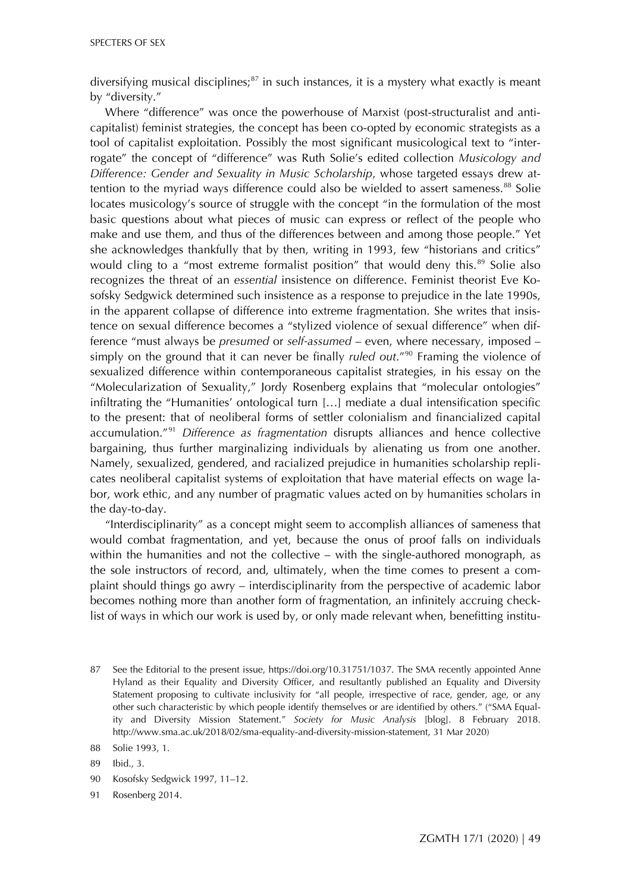diversifying musical disciplines; $87$  in such instances, it is a mystery what exactly is meant by "diversity."

Where "difference" was once the powerhouse of Marxist (post-structuralist and anticapitalist) feminist strategies, the concept has been co-opted by economic strategists as a tool of capitalist exploitation. Possibly the most significant musicological text to "interrogate" the concept of "difference" was Ruth Solie's edited collection *Musicology and Difference: Gender and Sexuality in Music Scholarship*, whose targeted essays drew at-tention to the myriad ways difference could also be wielded to assert sameness.<sup>[88](#page-18-0)</sup> Solie locates musicology's source of struggle with the concept "in the formulation of the most basic questions about what pieces of music can express or reflect of the people who make and use them, and thus of the differences between and among those people." Yet she acknowledges thankfully that by then, writing in 1993, few "historians and critics" would cling to a "most extreme formalist position" that would deny this. $89$  Solie also recognizes the threat of an *essential* insistence on difference. Feminist theorist Eve Kosofsky Sedgwick determined such insistence as a response to prejudice in the late 1990s, in the apparent collapse of difference into extreme fragmentation. She writes that insistence on sexual difference becomes a "stylized violence of sexual difference" when difference "must always be *presumed* or *self-assumed* – even, where necessary, imposed – simply on the ground that it can never be finally *ruled out*."[90](#page-18-0) Framing the violence of sexualized difference within contemporaneous capitalist strategies, in his essay on the "Molecularization of Sexuality," Jordy Rosenberg explains that "molecular ontologies" infiltrating the "Humanities' ontological turn […] mediate a dual intensification specific to the present: that of neoliberal forms of settler colonialism and financialized capital accumulation."[91](#page-18-0) *Difference as fragmentation* disrupts alliances and hence collective bargaining, thus further marginalizing individuals by alienating us from one another. Namely, sexualized, gendered, and racialized prejudice in humanities scholarship replicates neoliberal capitalist systems of exploitation that have material effects on wage labor, work ethic, and any number of pragmatic values acted on by humanities scholars in the day-to-day.

"Interdisciplinarity" as a concept might seem to accomplish alliances of sameness that would combat fragmentation, and yet, because the onus of proof falls on individuals within the humanities and not the collective – with the single-authored monograph, as the sole instructors of record, and, ultimately, when the time comes to present a complaint should things go awry – interdisciplinarity from the perspective of academic labor becomes nothing more than another form of fragmentation, an infinitely accruing checklist of ways in which our work is used by, or only made relevant when, benefitting institu-

<span id="page-18-0"></span><sup>87</sup> See the Editorial to the present issue, [https://doi.org/10.31751/1037.](https://doi.org/10.31751/1037) The SMA recently appointed Anne Hyland as their Equality and Diversity Officer, and resultantly published an Equality and Diversity Statement proposing to cultivate inclusivity for "all people, irrespective of race, gender, age, or any other such characteristic by which people identify themselves or are identified by others." ("SMA Equality and Diversity Mission Statement." *Society for Music Analysis* [blog]. 8 February 2018. [http://www.sma.ac.uk/2018/02/sma-equality-and-diversity-mission-statement,](http://www.sma.ac.uk/2018/02/sma-equality-and-diversity-mission-statement) 31 Mar 2020)

<sup>88</sup> Solie 1993, 1.

<sup>89</sup> Ibid., 3.

<sup>90</sup> Kosofsky Sedgwick 1997, 11–12.

<sup>91</sup> Rosenberg 2014.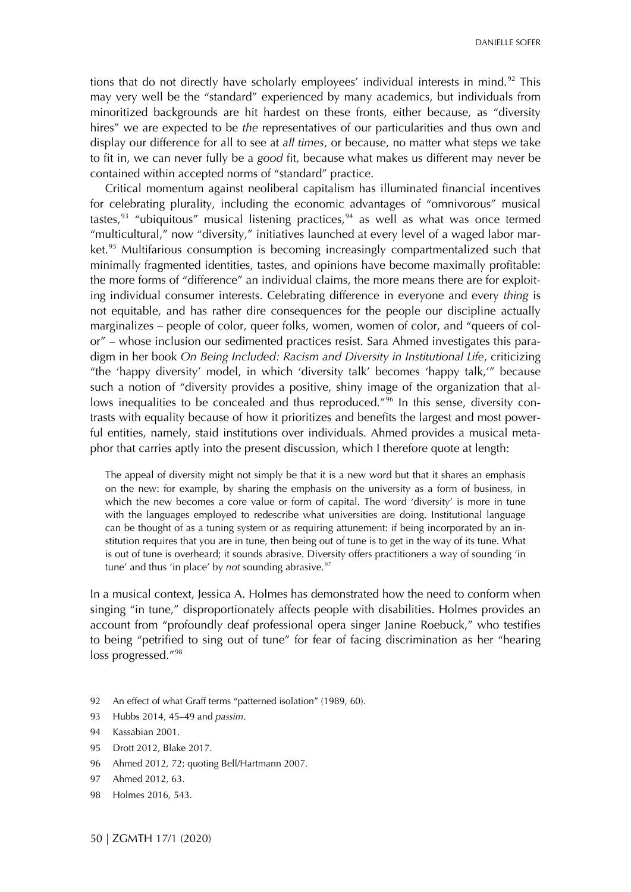DANIELLE SOFER

tions that do not directly have scholarly employees' individual interests in mind.<sup>[92](#page-19-0)</sup> This may very well be the "standard" experienced by many academics, but individuals from minoritized backgrounds are hit hardest on these fronts, either because, as "diversity hires" we are expected to be *the* representatives of our particularities and thus own and display our difference for all to see at *all times*, or because, no matter what steps we take to fit in, we can never fully be a *good* fit, because what makes us different may never be contained within accepted norms of "standard" practice.

Critical momentum against neoliberal capitalism has illuminated financial incentives for celebrating plurality, including the economic advantages of "omnivorous" musical tastes,  $93$  "ubiquitous" musical listening practices,  $94$  as well as what was once termed "multicultural," now "diversity," initiatives launched at every level of a waged labor mar-ket.<sup>[95](#page-19-0)</sup> Multifarious consumption is becoming increasingly compartmentalized such that minimally fragmented identities, tastes, and opinions have become maximally profitable: the more forms of "difference" an individual claims, the more means there are for exploiting individual consumer interests. Celebrating difference in everyone and every *thing* is not equitable, and has rather dire consequences for the people our discipline actually marginalizes – people of color, queer folks, women, women of color, and "queers of color" – whose inclusion our sedimented practices resist. Sara Ahmed investigates this paradigm in her book *On Being Included: Racism and Diversity in Institutional Life*, criticizing "the 'happy diversity' model, in which 'diversity talk' becomes 'happy talk,'" because such a notion of "diversity provides a positive, shiny image of the organization that al-lows inequalities to be concealed and thus reproduced."<sup>[96](#page-19-0)</sup> In this sense, diversity contrasts with equality because of how it prioritizes and benefits the largest and most powerful entities, namely, staid institutions over individuals. Ahmed provides a musical metaphor that carries aptly into the present discussion, which I therefore quote at length:

The appeal of diversity might not simply be that it is a new word but that it shares an emphasis on the new: for example, by sharing the emphasis on the university as a form of business, in which the new becomes a core value or form of capital. The word 'diversity' is more in tune with the languages employed to redescribe what universities are doing. Institutional language can be thought of as a tuning system or as requiring attunement: if being incorporated by an institution requires that you are in tune, then being out of tune is to get in the way of its tune. What is out of tune is overheard; it sounds abrasive. Diversity offers practitioners a way of sounding 'in tune' and thus 'in place' by *not* sounding abrasive.<sup>[97](#page-19-0)</sup>

In a musical context, Jessica A. Holmes has demonstrated how the need to conform when singing "in tune," disproportionately affects people with disabilities. Holmes provides an account from "profoundly deaf professional opera singer Janine Roebuck," who testifies to being "petrified to sing out of tune" for fear of facing discrimination as her "hearing loss progressed."<sup>[98](#page-19-0)</sup>

- <span id="page-19-0"></span>92 An effect of what Graff terms "patterned isolation" (1989, 60).
- 93 Hubbs 2014, 45–49 and *passim*.
- 94 Kassabian 2001.
- 95 Drott 2012, Blake 2017.
- 96 Ahmed 2012, 72; quoting Bell/Hartmann 2007.
- 97 Ahmed 2012, 63.
- 98 Holmes 2016, 543.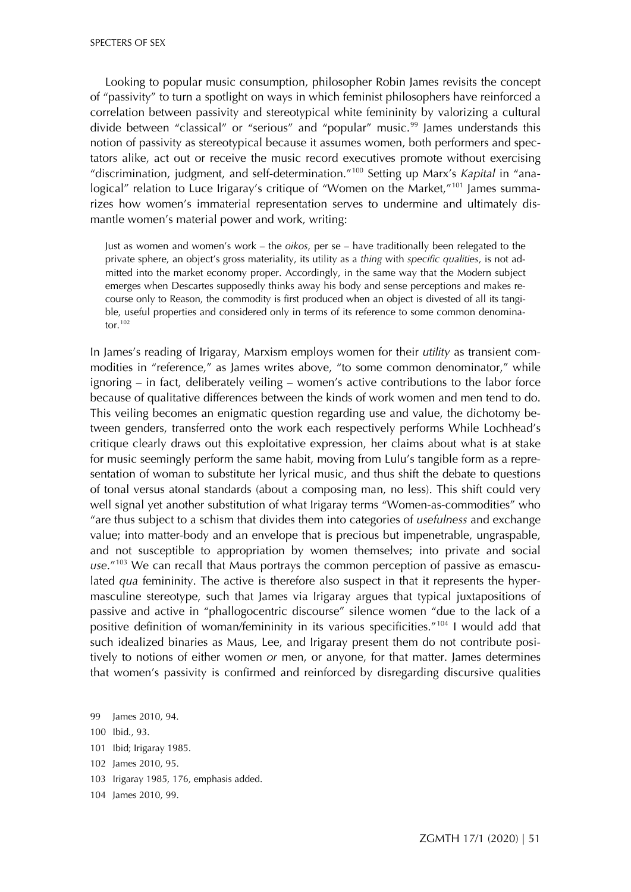Looking to popular music consumption, philosopher Robin James revisits the concept of "passivity" to turn a spotlight on ways in which feminist philosophers have reinforced a correlation between passivity and stereotypical white femininity by valorizing a cultural divide between "classical" or "serious" and "popular" music. $99$  James understands this notion of passivity as stereotypical because it assumes women, both performers and spectators alike, act out or receive the music record executives promote without exercising "discrimination, judgment, and self-determination."[100](#page-20-0) Setting up Marx's *Kapital* in "ana-logical" relation to Luce Irigaray's critique of "Women on the Market,"<sup>[101](#page-20-0)</sup> James summarizes how women's immaterial representation serves to undermine and ultimately dismantle women's material power and work, writing:

Just as women and women's work – the *oikos*, per se – have traditionally been relegated to the private sphere, an object's gross materiality, its utility as a *thing* with *specific qualities*, is not admitted into the market economy proper. Accordingly, in the same way that the Modern subject emerges when Descartes supposedly thinks away his body and sense perceptions and makes recourse only to Reason, the commodity is first produced when an object is divested of all its tangible, useful properties and considered only in terms of its reference to some common denominator. $102$ 

In James's reading of Irigaray, Marxism employs women for their *utility* as transient commodities in "reference," as James writes above, "to some common denominator," while ignoring – in fact, deliberately veiling – women's active contributions to the labor force because of qualitative differences between the kinds of work women and men tend to do. This veiling becomes an enigmatic question regarding use and value, the dichotomy between genders, transferred onto the work each respectively performs While Lochhead's critique clearly draws out this exploitative expression, her claims about what is at stake for music seemingly perform the same habit, moving from Lulu's tangible form as a representation of woman to substitute her lyrical music, and thus shift the debate to questions of tonal versus atonal standards (about a composing man, no less). This shift could very well signal yet another substitution of what Irigaray terms "Women-as-commodities" who "are thus subject to a schism that divides them into categories of *usefulness* and exchange value; into matter-body and an envelope that is precious but impenetrable, ungraspable, and not susceptible to appropriation by women themselves; into private and social *use*."[103](#page-20-0) We can recall that Maus portrays the common perception of passive as emasculated *qua* femininity. The active is therefore also suspect in that it represents the hypermasculine stereotype, such that James via Irigaray argues that typical juxtapositions of passive and active in "phallogocentric discourse" silence women "due to the lack of a positive definition of woman/femininity in its various specificities."[104](#page-20-0) I would add that such idealized binaries as Maus, Lee, and Irigaray present them do not contribute positively to notions of either women *or* men, or anyone, for that matter. James determines that women's passivity is confirmed and reinforced by disregarding discursive qualities

- 101 Ibid; Irigaray 1985.
- 102 James 2010, 95.
- 103 Irigaray 1985, 176, emphasis added.
- 104 James 2010, 99.

<span id="page-20-0"></span><sup>99</sup> James 2010, 94.

<sup>100</sup> Ibid., 93.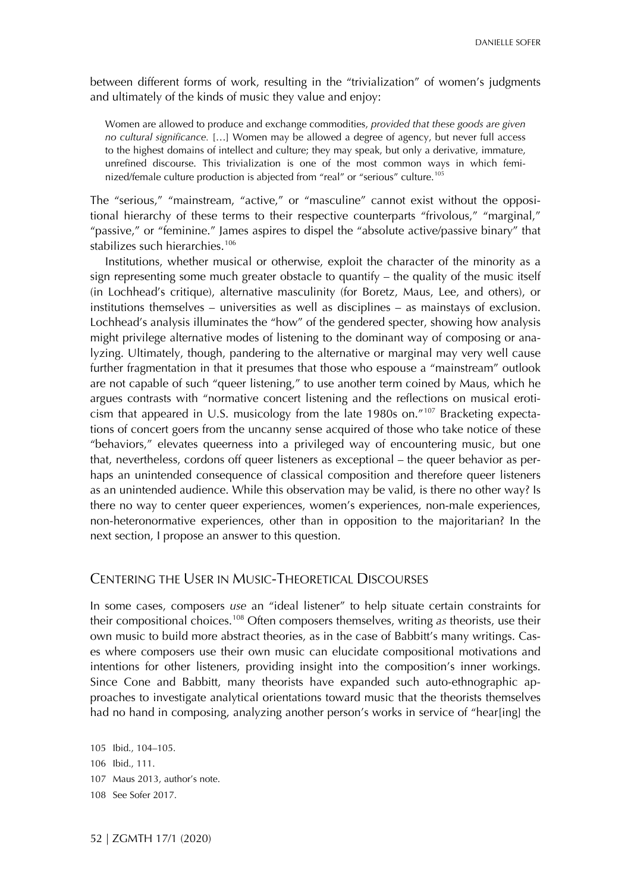between different forms of work, resulting in the "trivialization" of women's judgments and ultimately of the kinds of music they value and enjoy:

Women are allowed to produce and exchange commodities, *provided that these goods are given no cultural significance.* […] Women may be allowed a degree of agency, but never full access to the highest domains of intellect and culture; they may speak, but only a derivative, immature, unrefined discourse. This trivialization is one of the most common ways in which femi-nized/female culture production is abjected from "real" or "serious" culture.<sup>[105](#page-21-0)</sup>

The "serious," "mainstream, "active," or "masculine" cannot exist without the oppositional hierarchy of these terms to their respective counterparts "frivolous," "marginal," "passive," or "feminine." James aspires to dispel the "absolute active/passive binary" that stabilizes such hierarchies.<sup>[106](#page-21-0)</sup>

Institutions, whether musical or otherwise, exploit the character of the minority as a sign representing some much greater obstacle to quantify  $-$  the quality of the music itself (in Lochhead's critique), alternative masculinity (for Boretz, Maus, Lee, and others), or institutions themselves – universities as well as disciplines – as mainstays of exclusion. Lochhead's analysis illuminates the "how" of the gendered specter, showing how analysis might privilege alternative modes of listening to the dominant way of composing or analyzing. Ultimately, though, pandering to the alternative or marginal may very well cause further fragmentation in that it presumes that those who espouse a "mainstream" outlook are not capable of such "queer listening," to use another term coined by Maus, which he argues contrasts with "normative concert listening and the reflections on musical eroticism that appeared in U.S. musicology from the late 1980s on."[107](#page-21-0) Bracketing expectations of concert goers from the uncanny sense acquired of those who take notice of these "behaviors," elevates queerness into a privileged way of encountering music, but one that, nevertheless, cordons off queer listeners as exceptional – the queer behavior as perhaps an unintended consequence of classical composition and therefore queer listeners as an unintended audience. While this observation may be valid, is there no other way? Is there no way to center queer experiences, women's experiences, non-male experiences, non-heteronormative experiences, other than in opposition to the majoritarian? In the next section, I propose an answer to this question.

### CENTERING THE USER IN MUSIC-THEORETICAL DISCOURSES

In some cases, composers *use* an "ideal listener" to help situate certain constraints for their compositional choices.[108](#page-21-0) Often composers themselves, writing *as* theorists, use their own music to build more abstract theories, as in the case of Babbitt's many writings. Cases where composers use their own music can elucidate compositional motivations and intentions for other listeners, providing insight into the composition's inner workings. Since Cone and Babbitt, many theorists have expanded such auto-ethnographic approaches to investigate analytical orientations toward music that the theorists themselves had no hand in composing, analyzing another person's works in service of "hear[ing] the

<span id="page-21-0"></span> Ibid., 104–105. Ibid., 111. Maus 2013, author's note. See Sofer 2017.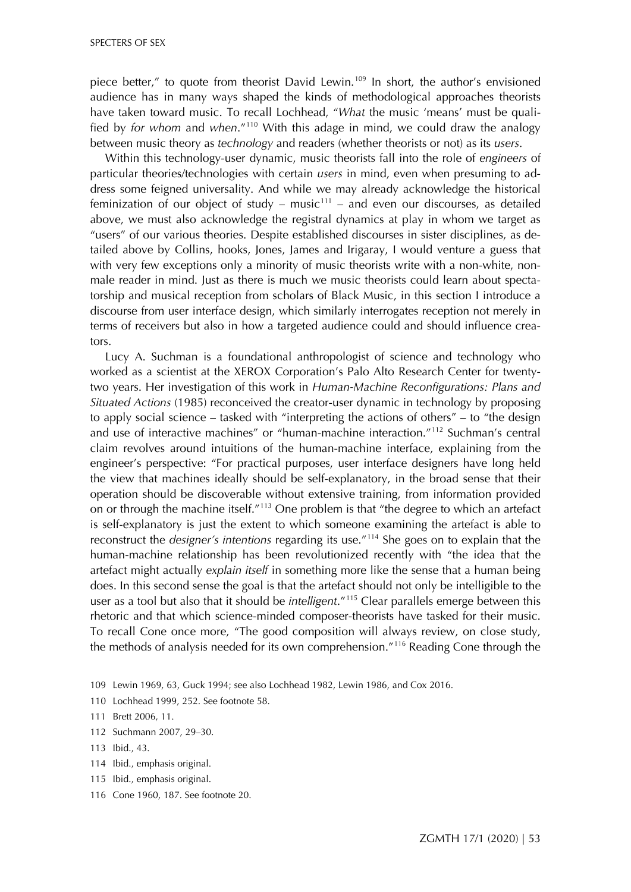piece better," to quote from theorist David Lewin.<sup>[109](#page-22-0)</sup> In short, the author's envisioned audience has in many ways shaped the kinds of methodological approaches theorists have taken toward music. To recall Lochhead, "*What* the music 'means' must be qualified by *for whom* and *when*."[110](#page-22-0) With this adage in mind, we could draw the analogy between music theory as *technology* and readers (whether theorists or not) as its *users*.

Within this technology-user dynamic, music theorists fall into the role of *engineers* of particular theories/technologies with certain *users* in mind, even when presuming to address some feigned universality. And while we may already acknowledge the historical feminization of our object of study – music<sup>[111](#page-22-0)</sup> – and even our discourses, as detailed above, we must also acknowledge the registral dynamics at play in whom we target as "users" of our various theories. Despite established discourses in sister disciplines, as detailed above by Collins, hooks, Jones, James and Irigaray, I would venture a guess that with very few exceptions only a minority of music theorists write with a non-white, nonmale reader in mind. Just as there is much we music theorists could learn about spectatorship and musical reception from scholars of Black Music, in this section I introduce a discourse from user interface design, which similarly interrogates reception not merely in terms of receivers but also in how a targeted audience could and should influence creators.

Lucy A. Suchman is a foundational anthropologist of science and technology who worked as a scientist at the XEROX Corporation's Palo Alto Research Center for twentytwo years. Her investigation of this work in *Human-Machine Reconfigurations: Plans and Situated Actions* (1985) reconceived the creator-user dynamic in technology by proposing to apply social science – tasked with "interpreting the actions of others" – to "the design and use of interactive machines" or "human-machine interaction."[112](#page-22-0) Suchman's central claim revolves around intuitions of the human-machine interface, explaining from the engineer's perspective: "For practical purposes, user interface designers have long held the view that machines ideally should be self-explanatory, in the broad sense that their operation should be discoverable without extensive training, from information provided on or through the machine itself."[113](#page-22-0) One problem is that "the degree to which an artefact is self-explanatory is just the extent to which someone examining the artefact is able to reconstruct the *designer's intentions* regarding its use."[114](#page-22-0) She goes on to explain that the human-machine relationship has been revolutionized recently with "the idea that the artefact might actually *explain itself* in something more like the sense that a human being does. In this second sense the goal is that the artefact should not only be intelligible to the user as a tool but also that it should be *intelligent*."[115](#page-22-0) Clear parallels emerge between this rhetoric and that which science-minded composer-theorists have tasked for their music. To recall Cone once more, "The good composition will always review, on close study, the methods of analysis needed for its own comprehension."[116](#page-22-0) Reading Cone through the

- <span id="page-22-0"></span>109 Lewin 1969, 63, Guck 1994; see also Lochhead 1982, Lewin 1986, and Cox 2016.
- 110 Lochhead 1999, 252. See footnote 58.
- 111 Brett 2006, 11.
- 112 Suchmann 2007, 29–30.
- 113 Ibid., 43.
- 114 Ibid., emphasis original.
- 115 Ibid., emphasis original.
- 116 Cone 1960, 187. See footnote 20.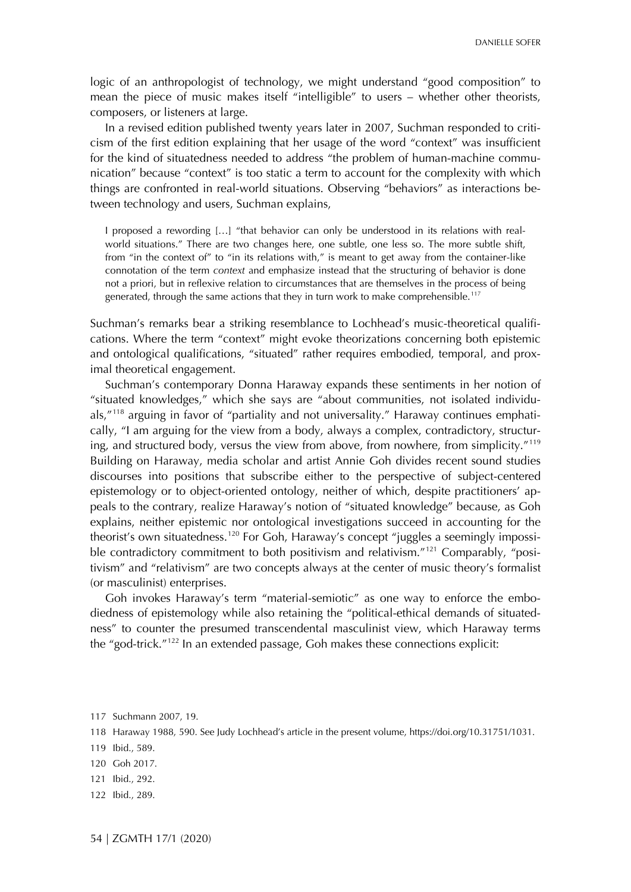logic of an anthropologist of technology, we might understand "good composition" to mean the piece of music makes itself "intelligible" to users – whether other theorists, composers, or listeners at large.

In a revised edition published twenty years later in 2007, Suchman responded to criticism of the first edition explaining that her usage of the word "context" was insufficient for the kind of situatedness needed to address "the problem of human-machine communication" because "context" is too static a term to account for the complexity with which things are confronted in real-world situations. Observing "behaviors" as interactions between technology and users, Suchman explains,

I proposed a rewording […] "that behavior can only be understood in its relations with realworld situations." There are two changes here, one subtle, one less so. The more subtle shift, from "in the context of" to "in its relations with," is meant to get away from the container-like connotation of the term *context* and emphasize instead that the structuring of behavior is done not a priori, but in reflexive relation to circumstances that are themselves in the process of being generated, through the same actions that they in turn work to make comprehensible.<sup>[117](#page-23-0)</sup>

Suchman's remarks bear a striking resemblance to Lochhead's music-theoretical qualifications. Where the term "context" might evoke theorizations concerning both epistemic and ontological qualifications, "situated" rather requires embodied, temporal, and proximal theoretical engagement.

Suchman's contemporary Donna Haraway expands these sentiments in her notion of "situated knowledges," which she says are "about communities, not isolated individuals,"[118](#page-23-0) arguing in favor of "partiality and not universality." Haraway continues emphatically, "I am arguing for the view from a body, always a complex, contradictory, structur-ing, and structured body, versus the view from above, from nowhere, from simplicity."<sup>[119](#page-23-0)</sup> Building on Haraway, media scholar and artist Annie Goh divides recent sound studies discourses into positions that subscribe either to the perspective of subject-centered epistemology or to object-oriented ontology, neither of which, despite practitioners' appeals to the contrary, realize Haraway's notion of "situated knowledge" because, as Goh explains, neither epistemic nor ontological investigations succeed in accounting for the theorist's own situatedness.<sup>[120](#page-23-0)</sup> For Goh, Haraway's concept "juggles a seemingly impossi-ble contradictory commitment to both positivism and relativism.<sup>"[121](#page-23-0)</sup> Comparably, "positivism" and "relativism" are two concepts always at the center of music theory's formalist (or masculinist) enterprises.

Goh invokes Haraway's term "material-semiotic" as one way to enforce the embodiedness of epistemology while also retaining the "political-ethical demands of situatedness" to counter the presumed transcendental masculinist view, which Haraway terms the "god-trick."[122](#page-23-0) In an extended passage, Goh makes these connections explicit:

- 121 Ibid., 292.
- 122 Ibid., 289.

<span id="page-23-0"></span><sup>117</sup> Suchmann 2007, 19.

<sup>118</sup> Haraway 1988, 590. See Judy Lochhead's article in the present volume, [https://doi.org/10.31751/1031.](https://doi.org/10.31751/1031)

<sup>119</sup> Ibid., 589.

<sup>120</sup> Goh 2017.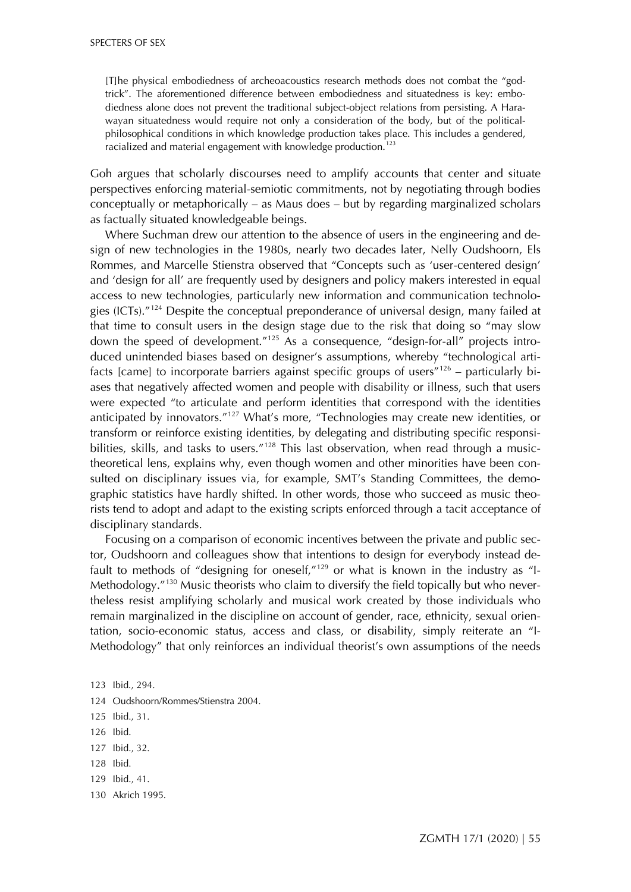[T]he physical embodiedness of archeoacoustics research methods does not combat the "godtrick". The aforementioned difference between embodiedness and situatedness is key: embodiedness alone does not prevent the traditional subject-object relations from persisting. A Harawayan situatedness would require not only a consideration of the body, but of the politicalphilosophical conditions in which knowledge production takes place. This includes a gendered, racialized and material engagement with knowledge production.<sup>[123](#page-24-0)</sup>

Goh argues that scholarly discourses need to amplify accounts that center and situate perspectives enforcing material-semiotic commitments, not by negotiating through bodies conceptually or metaphorically – as Maus does – but by regarding marginalized scholars as factually situated knowledgeable beings.

Where Suchman drew our attention to the absence of users in the engineering and design of new technologies in the 1980s, nearly two decades later, Nelly Oudshoorn, Els Rommes, and Marcelle Stienstra observed that "Concepts such as 'user-centered design' and 'design for all' are frequently used by designers and policy makers interested in equal access to new technologies, particularly new information and communication technologies (ICTs)."[124](#page-24-0) Despite the conceptual preponderance of universal design, many failed at that time to consult users in the design stage due to the risk that doing so "may slow down the speed of development."[125](#page-24-0) As a consequence, "design-for-all" projects introduced unintended biases based on designer's assumptions, whereby "technological artifacts [came] to incorporate barriers against specific groups of users<sup> $n_{126}$  $n_{126}$  $n_{126}$ </sup> – particularly biases that negatively affected women and people with disability or illness, such that users were expected "to articulate and perform identities that correspond with the identities anticipated by innovators."[127](#page-24-0) What's more, "Technologies may create new identities, or transform or reinforce existing identities, by delegating and distributing specific responsi-bilities, skills, and tasks to users."<sup>[128](#page-24-0)</sup> This last observation, when read through a musictheoretical lens, explains why, even though women and other minorities have been consulted on disciplinary issues via, for example, SMT's Standing Committees, the demographic statistics have hardly shifted. In other words, those who succeed as music theorists tend to adopt and adapt to the existing scripts enforced through a tacit acceptance of disciplinary standards.

Focusing on a comparison of economic incentives between the private and public sector, Oudshoorn and colleagues show that intentions to design for everybody instead default to methods of "designing for oneself, $n_{129}$  $n_{129}$  $n_{129}$  or what is known in the industry as "I-Methodology.<sup>["130](#page-24-0)</sup> Music theorists who claim to diversify the field topically but who nevertheless resist amplifying scholarly and musical work created by those individuals who remain marginalized in the discipline on account of gender, race, ethnicity, sexual orientation, socio-economic status, access and class, or disability, simply reiterate an "I-Methodology" that only reinforces an individual theorist's own assumptions of the needs

- 124 Oudshoorn/Rommes/Stienstra 2004.
- 125 Ibid., 31.
- 126 Ibid.
- 127 Ibid., 32.
- 128 Ibid.
- 129 Ibid., 41.
- 130 Akrich 1995.

<span id="page-24-0"></span><sup>123</sup> Ibid., 294.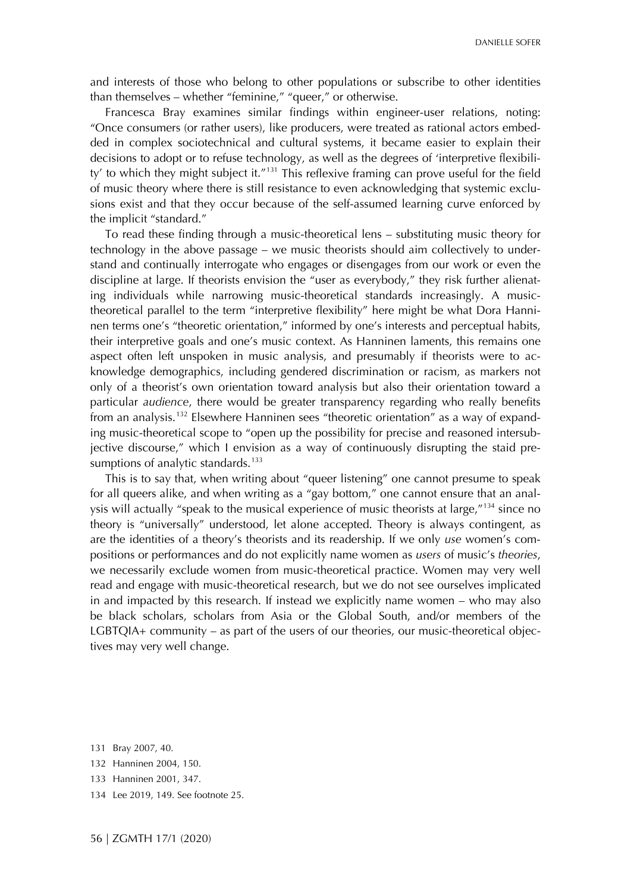and interests of those who belong to other populations or subscribe to other identities than themselves – whether "feminine," "queer," or otherwise.

Francesca Bray examines similar findings within engineer-user relations, noting: "Once consumers (or rather users), like producers, were treated as rational actors embedded in complex sociotechnical and cultural systems, it became easier to explain their decisions to adopt or to refuse technology, as well as the degrees of 'interpretive flexibili-ty' to which they might subject it."<sup>[131](#page-25-0)</sup> This reflexive framing can prove useful for the field of music theory where there is still resistance to even acknowledging that systemic exclusions exist and that they occur because of the self-assumed learning curve enforced by the implicit "standard."

To read these finding through a music-theoretical lens – substituting music theory for technology in the above passage – we music theorists should aim collectively to understand and continually interrogate who engages or disengages from our work or even the discipline at large. If theorists envision the "user as everybody," they risk further alienating individuals while narrowing music-theoretical standards increasingly. A musictheoretical parallel to the term "interpretive flexibility" here might be what Dora Hanninen terms one's "theoretic orientation," informed by one's interests and perceptual habits, their interpretive goals and one's music context. As Hanninen laments, this remains one aspect often left unspoken in music analysis, and presumably if theorists were to acknowledge demographics, including gendered discrimination or racism, as markers not only of a theorist's own orientation toward analysis but also their orientation toward a particular *audience*, there would be greater transparency regarding who really benefits from an analysis.<sup>[132](#page-25-0)</sup> Elsewhere Hanninen sees "theoretic orientation" as a way of expanding music-theoretical scope to "open up the possibility for precise and reasoned intersubjective discourse," which I envision as a way of continuously disrupting the staid pre-sumptions of analytic standards.<sup>[133](#page-25-0)</sup>

This is to say that, when writing about "queer listening" one cannot presume to speak for all queers alike, and when writing as a "gay bottom," one cannot ensure that an analysis will actually "speak to the musical experience of music theorists at large,"[134](#page-25-0) since no theory is "universally" understood, let alone accepted. Theory is always contingent, as are the identities of a theory's theorists and its readership. If we only *use* women's compositions or performances and do not explicitly name women as *users* of music's *theories*, we necessarily exclude women from music-theoretical practice. Women may very well read and engage with music-theoretical research, but we do not see ourselves implicated in and impacted by this research. If instead we explicitly name women – who may also be black scholars, scholars from Asia or the Global South, and/or members of the LGBTQIA+ community – as part of the users of our theories, our music-theoretical objectives may very well change.

<span id="page-25-0"></span><sup>131</sup> Bray 2007, 40.

<sup>132</sup> Hanninen 2004, 150.

<sup>133</sup> Hanninen 2001, 347.

<sup>134</sup> Lee 2019, 149. See footnote 25.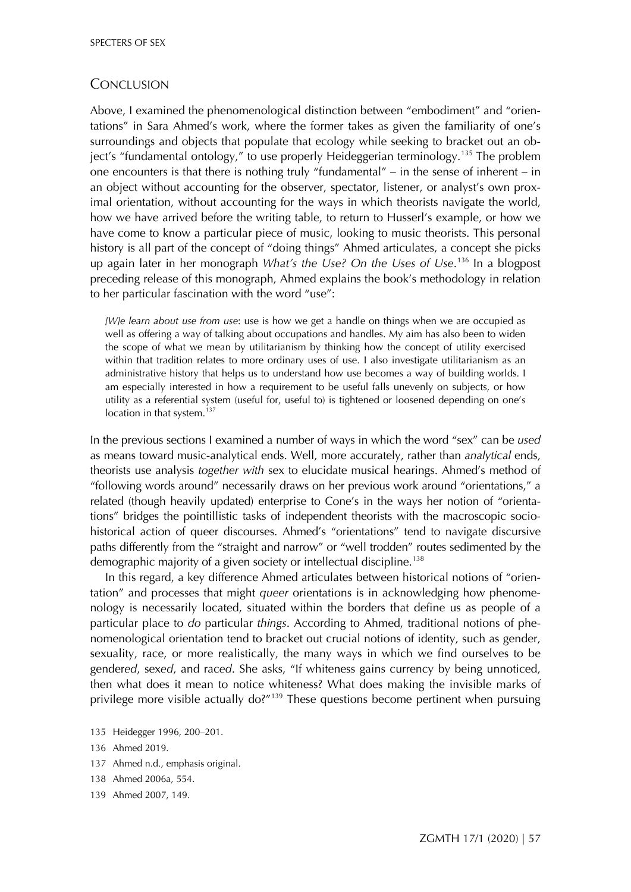#### **CONCLUSION**

Above, I examined the phenomenological distinction between "embodiment" and "orientations" in Sara Ahmed's work, where the former takes as given the familiarity of one's surroundings and objects that populate that ecology while seeking to bracket out an ob-ject's "fundamental ontology," to use properly Heideggerian terminology.<sup>[135](#page-26-0)</sup> The problem one encounters is that there is nothing truly "fundamental" – in the sense of inherent – in an object without accounting for the observer, spectator, listener, or analyst's own proximal orientation, without accounting for the ways in which theorists navigate the world, how we have arrived before the writing table, to return to Husserl's example, or how we have come to know a particular piece of music, looking to music theorists. This personal history is all part of the concept of "doing things" Ahmed articulates, a concept she picks up again later in her monograph *What's the Use? On the Uses of Use*. [136](#page-26-0) In a blogpost preceding release of this monograph, Ahmed explains the book's methodology in relation to her particular fascination with the word "use":

*[W]e learn about use from use*: use is how we get a handle on things when we are occupied as well as offering a way of talking about occupations and handles. My aim has also been to widen the scope of what we mean by utilitarianism by thinking how the concept of utility exercised within that tradition relates to more ordinary uses of use. I also investigate utilitarianism as an administrative history that helps us to understand how use becomes a way of building worlds. I am especially interested in how a requirement to be useful falls unevenly on subjects, or how utility as a referential system (useful for, useful to) is tightened or loosened depending on one's location in that system. $137$ 

In the previous sections I examined a number of ways in which the word "sex" can be *used* as means toward music-analytical ends. Well, more accurately, rather than *analytical* ends, theorists use analysis *together with* sex to elucidate musical hearings. Ahmed's method of "following words around" necessarily draws on her previous work around "orientations," a related (though heavily updated) enterprise to Cone's in the ways her notion of "orientations" bridges the pointillistic tasks of independent theorists with the macroscopic sociohistorical action of queer discourses. Ahmed's "orientations" tend to navigate discursive paths differently from the "straight and narrow" or "well trodden" routes sedimented by the demographic majority of a given society or intellectual discipline.<sup>[138](#page-26-0)</sup>

In this regard, a key difference Ahmed articulates between historical notions of "orientation" and processes that might *queer* orientations is in acknowledging how phenomenology is necessarily located, situated within the borders that define us as people of a particular place to *do* particular *things*. According to Ahmed, traditional notions of phenomenological orientation tend to bracket out crucial notions of identity, such as gender, sexuality, race, or more realistically, the many ways in which we find ourselves to be gender*ed*, sex*ed*, and rac*ed*. She asks, "If whiteness gains currency by being unnoticed, then what does it mean to notice whiteness? What does making the invisible marks of privilege more visible actually do?"<sup>[139](#page-26-0)</sup> These questions become pertinent when pursuing

- 137 Ahmed n.d., emphasis original.
- 138 Ahmed 2006a, 554.
- 139 Ahmed 2007, 149.

<span id="page-26-0"></span><sup>135</sup> Heidegger 1996, 200–201.

<sup>136</sup> Ahmed 2019.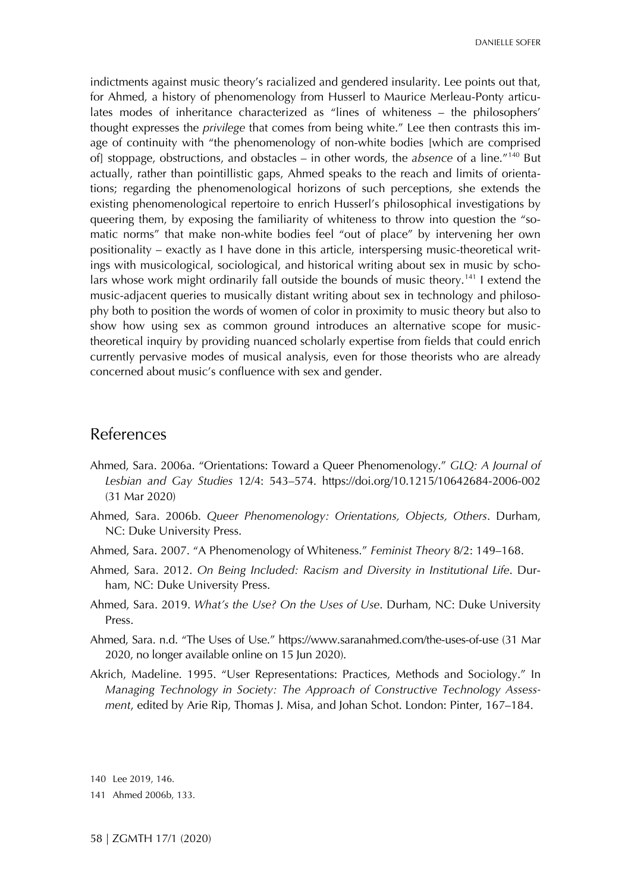indictments against music theory's racialized and gendered insularity. Lee points out that, for Ahmed, a history of phenomenology from Husserl to Maurice Merleau-Ponty articulates modes of inheritance characterized as "lines of whiteness – the philosophers' thought expresses the *privilege* that comes from being white." Lee then contrasts this image of continuity with "the phenomenology of non-white bodies [which are comprised of] stoppage, obstructions, and obstacles – in other words, the *absence* of a line."[140](#page-27-0) But actually, rather than pointillistic gaps, Ahmed speaks to the reach and limits of orientations; regarding the phenomenological horizons of such perceptions, she extends the existing phenomenological repertoire to enrich Husserl's philosophical investigations by queering them, by exposing the familiarity of whiteness to throw into question the "somatic norms" that make non-white bodies feel "out of place" by intervening her own positionality – exactly as I have done in this article, interspersing music-theoretical writings with musicological, sociological, and historical writing about sex in music by scho-lars whose work might ordinarily fall outside the bounds of music theory.<sup>[141](#page-27-0)</sup> I extend the music-adjacent queries to musically distant writing about sex in technology and philosophy both to position the words of women of color in proximity to music theory but also to show how using sex as common ground introduces an alternative scope for musictheoretical inquiry by providing nuanced scholarly expertise from fields that could enrich currently pervasive modes of musical analysis, even for those theorists who are already concerned about music's confluence with sex and gender.

## References

- Ahmed, Sara. 2006a. "Orientations: Toward a Queer Phenomenology." *GLQ: A Journal of Lesbian and Gay Studies* 12/4: 543–574. <https://doi.org/10.1215/10642684-2006-002> (31 Mar 2020)
- Ahmed, Sara. 2006b. *Queer Phenomenology: Orientations, Objects, Others*. Durham, NC: Duke University Press.
- Ahmed, Sara. 2007. "A Phenomenology of Whiteness." *Feminist Theory* 8/2: 149–168.
- Ahmed, Sara. 2012. *On Being Included: Racism and Diversity in Institutional Life*. Durham, NC: Duke University Press.
- Ahmed, Sara. 2019. *What's the Use? On the Uses of Use*. Durham, NC: Duke University Press.
- Ahmed, Sara. n.d. "The Uses of Use."<https://www.saranahmed.com/the-uses-of-use> (31 Mar 2020, no longer available online on 15 Jun 2020).
- Akrich, Madeline. 1995. "User Representations: Practices, Methods and Sociology." In *Managing Technology in Society: The Approach of Constructive Technology Assessment*, edited by Arie Rip, Thomas J. Misa, and Johan Schot. London: Pinter, 167–184.

<span id="page-27-0"></span>140 Lee 2019, 146.

<sup>141</sup> Ahmed 2006b, 133.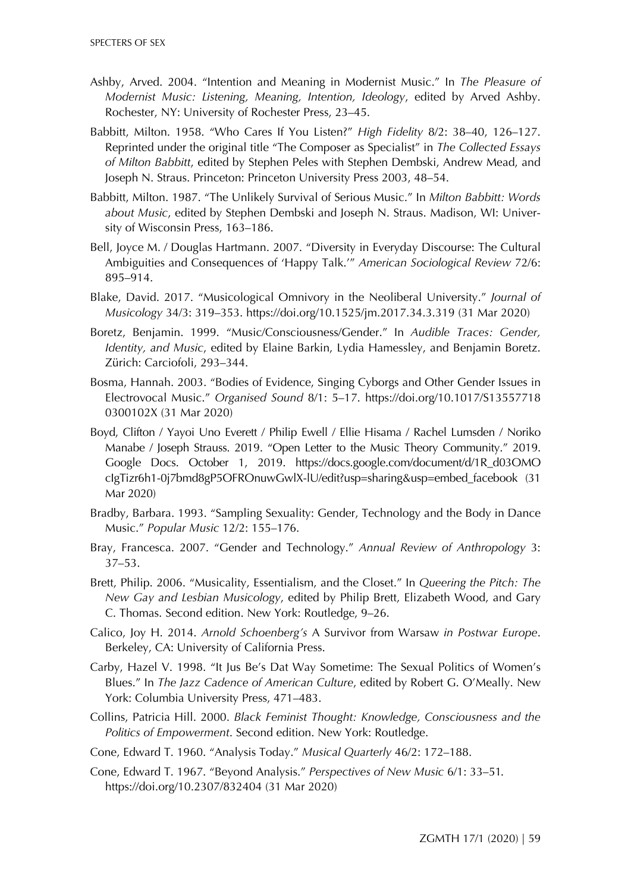- Ashby, Arved. 2004. "Intention and Meaning in Modernist Music." In *The Pleasure of Modernist Music: Listening, Meaning, Intention, Ideology*, edited by Arved Ashby. Rochester, NY: University of Rochester Press, 23–45.
- Babbitt, Milton. 1958. "Who Cares If You Listen?" *High Fidelity* 8/2: 38–40, 126–127. Reprinted under the original title "The Composer as Specialist" in *The Collected Essays of Milton Babbitt*, edited by Stephen Peles with Stephen Dembski, Andrew Mead, and Joseph N. Straus. Princeton: Princeton University Press 2003, 48–54.
- Babbitt, Milton. 1987. "The Unlikely Survival of Serious Music." In *Milton Babbitt: Words about Music*, edited by Stephen Dembski and Joseph N. Straus. Madison, WI: University of Wisconsin Press, 163–186.
- Bell, Joyce M. / Douglas Hartmann. 2007. "Diversity in Everyday Discourse: The Cultural Ambiguities and Consequences of 'Happy Talk.'" *American Sociological Review* 72/6: 895–914.
- Blake, David. 2017. "Musicological Omnivory in the Neoliberal University." *Journal of Musicology* 34/3: 319–353. [https://doi.org/10.1525/jm.2017.34.3.319](https://doi.org/10.1215/10642684-2006-002) (31 Mar 2020)
- Boretz, Benjamin. 1999. "Music/Consciousness/Gender." In *Audible Traces: Gender, Identity, and Music*, edited by Elaine Barkin, Lydia Hamessley, and Benjamin Boretz. Zürich: Carciofoli, 293–344.
- Bosma, Hannah. 2003. "Bodies of Evidence, Singing Cyborgs and Other Gender Issues in Electrovocal Music." *Organised Sound* 8/1: 5–17. [https://doi.org/10.1017/S13557718](https://doi.org/10.1017/S135577180300102X) [0300102X](https://doi.org/10.1017/S135577180300102X) (31 Mar 2020)
- Boyd, Clifton / Yayoi Uno Everett / Philip Ewell / Ellie Hisama / Rachel Lumsden / Noriko Manabe / Joseph Strauss. 2019. "Open Letter to the Music Theory Community." 2019. Google Docs. October 1, 2019. [https://docs.google.com/document/d/1R\\_d03OMO](https://docs.google.com/document/d/1R_d03OMOcIgTizr6h1-0j7bmd8gP5OFROnuwGwlX-lU/edit?usp=sharing&usp=embed_facebook) [cIgTizr6h1-0j7bmd8gP5OFROnuwGwlX-lU/edit?usp=sharing&usp=embed\\_facebook](https://docs.google.com/document/d/1R_d03OMOcIgTizr6h1-0j7bmd8gP5OFROnuwGwlX-lU/edit?usp=sharing&usp=embed_facebook) (31 Mar 2020)
- Bradby, Barbara. 1993. "Sampling Sexuality: Gender, Technology and the Body in Dance Music." *Popular Music* 12/2: 155–176.
- Bray, Francesca. 2007. "Gender and Technology." *Annual Review of Anthropology* 3: 37–53.
- Brett, Philip. 2006. "Musicality, Essentialism, and the Closet." In *Queering the Pitch: The New Gay and Lesbian Musicology*, edited by Philip Brett, Elizabeth Wood, and Gary C. Thomas. Second edition. New York: Routledge, 9–26.
- Calico, Joy H. 2014. *Arnold Schoenberg's* A Survivor from Warsaw *in Postwar Europe*. Berkeley, CA: University of California Press.
- Carby, Hazel V. 1998. "It Jus Be's Dat Way Sometime: The Sexual Politics of Women's Blues." In *The Jazz Cadence of American Culture*, edited by Robert G. O'Meally. New York: Columbia University Press, 471–483.
- Collins, Patricia Hill. 2000. *Black Feminist Thought: Knowledge, Consciousness and the Politics of Empowerment*. Second edition. New York: Routledge.
- Cone, Edward T. 1960. "Analysis Today." *Musical Quarterly* 46/2: 172–188.
- Cone, Edward T. 1967. "Beyond Analysis." *Perspectives of New Music* 6/1: 33–51. <https://doi.org/10.2307/832404> (31 Mar 2020)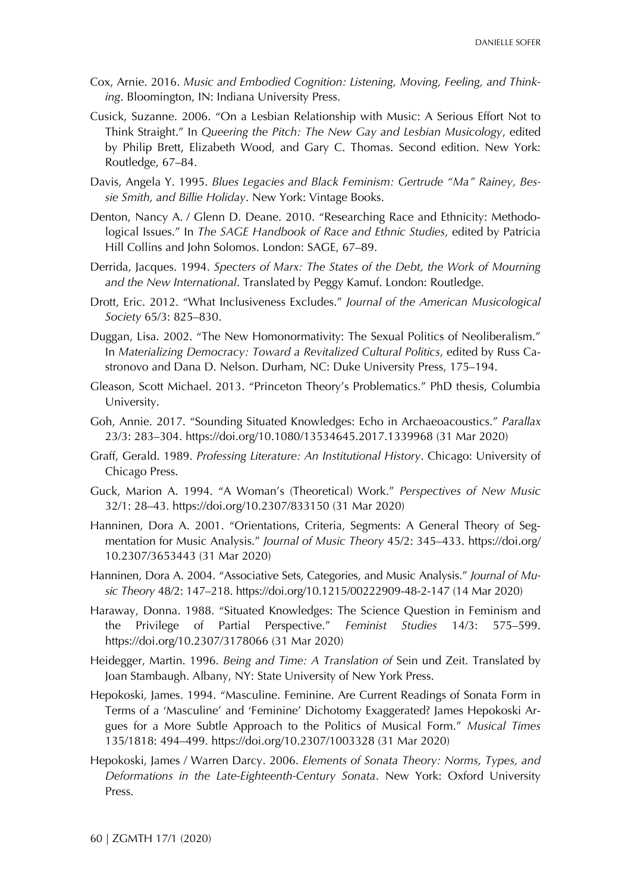- Cox, Arnie. 2016. *Music and Embodied Cognition: Listening, Moving, Feeling, and Thinking*. Bloomington, IN: Indiana University Press.
- Cusick, Suzanne. 2006. "On a Lesbian Relationship with Music: A Serious Effort Not to Think Straight." In *Queering the Pitch: The New Gay and Lesbian Musicology*, edited by Philip Brett, Elizabeth Wood, and Gary C. Thomas. Second edition. New York: Routledge, 67–84.
- Davis, Angela Y. 1995. *Blues Legacies and Black Feminism: Gertrude "Ma" Rainey, Bessie Smith, and Billie Holiday*. New York: Vintage Books.
- Denton, Nancy A. / Glenn D. Deane. 2010. "Researching Race and Ethnicity: Methodological Issues." In *The SAGE Handbook of Race and Ethnic Studies*, edited by Patricia Hill Collins and John Solomos. London: SAGE, 67–89.
- Derrida, Jacques. 1994. *Specters of Marx: The States of the Debt, the Work of Mourning and the New International*. Translated by Peggy Kamuf. London: Routledge.
- Drott, Eric. 2012. "What Inclusiveness Excludes." *Journal of the American Musicological Society* 65/3: 825–830.
- Duggan, Lisa. 2002. "The New Homonormativity: The Sexual Politics of Neoliberalism." In *Materializing Democracy: Toward a Revitalized Cultural Politics*, edited by Russ Castronovo and Dana D. Nelson. Durham, NC: Duke University Press, 175–194.
- Gleason, Scott Michael. 2013. "Princeton Theory's Problematics." PhD thesis, Columbia University.
- Goh, Annie. 2017. "Sounding Situated Knowledges: Echo in Archaeoacoustics." *Parallax* 23/3: 283–304.<https://doi.org/10.1080/13534645.2017.1339968> (31 Mar 2020)
- Graff, Gerald. 1989. *Professing Literature: An Institutional History*. Chicago: University of Chicago Press.
- Guck, Marion A. 1994. "A Woman's (Theoretical) Work." *Perspectives of New Music* 32/1: 28–43.<https://doi.org/10.2307/833150> (31 Mar 2020)
- Hanninen, Dora A. 2001. "Orientations, Criteria, Segments: A General Theory of Segmentation for Music Analysis." *Journal of Music Theory* 45/2: 345–433. [https://doi.org/](https://doi.org/10.2307/3653443) [10.2307/3653443](https://doi.org/10.2307/3653443) (31 Mar 2020)
- Hanninen, Dora A. 2004. "Associative Sets, Categories, and Music Analysis." *Journal of Music Theory* 48/2: 147–218.<https://doi.org/10.1215/00222909-48-2-147> (14 Mar 2020)
- Haraway, Donna. 1988. "Situated Knowledges: The Science Question in Feminism and the Privilege of Partial Perspective." *Feminist Studies* 14/3: 575–599. <https://doi.org/10.2307/3178066> (31 Mar 2020)
- Heidegger, Martin. 1996. *Being and Time: A Translation of* Sein und Zeit. Translated by Joan Stambaugh. Albany, NY: State University of New York Press.
- Hepokoski, James. 1994. "Masculine. Feminine. Are Current Readings of Sonata Form in Terms of a 'Masculine' and 'Feminine' Dichotomy Exaggerated? James Hepokoski Argues for a More Subtle Approach to the Politics of Musical Form." *Musical Times* 135/1818: 494–499.<https://doi.org/10.2307/1003328> (31 Mar 2020)
- Hepokoski, James / Warren Darcy. 2006. *Elements of Sonata Theory: Norms, Types, and Deformations in the Late-Eighteenth-Century Sonata*. New York: Oxford University Press.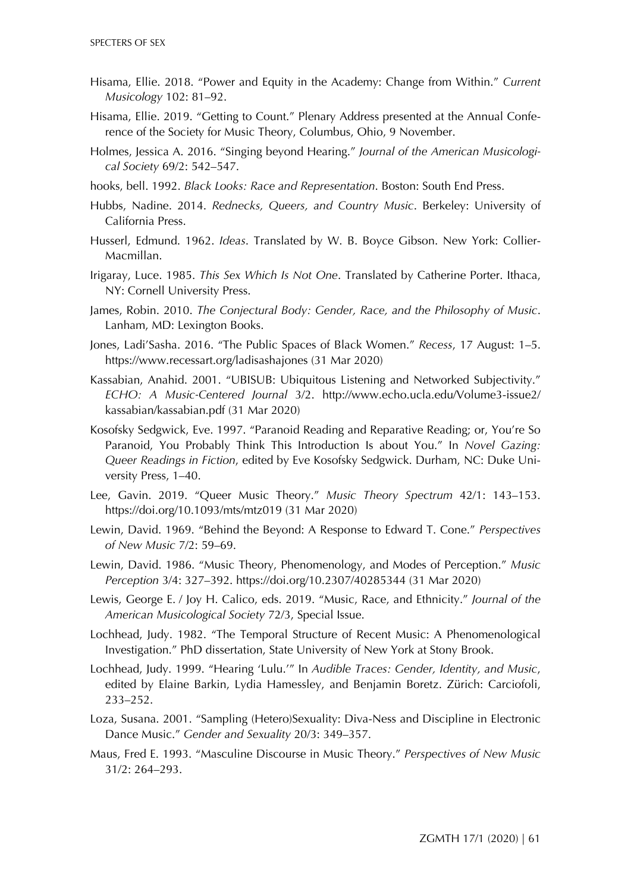- Hisama, Ellie. 2018. "Power and Equity in the Academy: Change from Within." *Current Musicology* 102: 81–92.
- Hisama, Ellie. 2019. "Getting to Count." Plenary Address presented at the Annual Conference of the Society for Music Theory, Columbus, Ohio, 9 November.
- Holmes, Jessica A. 2016. "Singing beyond Hearing." *Journal of the American Musicological Society* 69/2: 542–547.
- hooks, bell. 1992. *Black Looks: Race and Representation*. Boston: South End Press.
- Hubbs, Nadine. 2014. *Rednecks, Queers, and Country Music*. Berkeley: University of California Press.
- Husserl, Edmund. 1962. *Ideas*. Translated by W. B. Boyce Gibson. New York: Collier-Macmillan.
- Irigaray, Luce. 1985. *This Sex Which Is Not One*. Translated by Catherine Porter. Ithaca, NY: Cornell University Press.
- James, Robin. 2010. *The Conjectural Body: Gender, Race, and the Philosophy of Music*. Lanham, MD: Lexington Books.
- Jones, Ladi'Sasha. 2016. "The Public Spaces of Black Women." *Recess*, 17 August: 1–5. <https://www.recessart.org/ladisashajones> (31 Mar 2020)
- Kassabian, Anahid. 2001. "UBISUB: Ubiquitous Listening and Networked Subjectivity." *ECHO: A Music-Centered Journal* 3/2. [http://www.echo.ucla.edu/Volume3-issue2/](http://www.echo.ucla.edu/Volume3-issue2/kassabian/kassabian.pdf) [kassabian/kassabian.pdf](http://www.echo.ucla.edu/Volume3-issue2/kassabian/kassabian.pdf) (31 Mar 2020)
- Kosofsky Sedgwick, Eve. 1997. "Paranoid Reading and Reparative Reading; or, You're So Paranoid, You Probably Think This Introduction Is about You." In *Novel Gazing: Queer Readings in Fiction*, edited by Eve Kosofsky Sedgwick. Durham, NC: Duke University Press, 1–40.
- Lee, Gavin. 2019. "Queer Music Theory." *Music Theory Spectrum* 42/1: 143–153. <https://doi.org/10.1093/mts/mtz019> (31 Mar 2020)
- Lewin, David. 1969. "Behind the Beyond: A Response to Edward T. Cone." *Perspectives of New Music* 7/2: 59–69.
- Lewin, David. 1986. "Music Theory, Phenomenology, and Modes of Perception." *Music Perception* 3/4: 327–392.<https://doi.org/10.2307/40285344> (31 Mar 2020)
- Lewis, George E. / Joy H. Calico, eds. 2019. "Music, Race, and Ethnicity." *Journal of the American Musicological Society* 72/3, Special Issue.
- Lochhead, Judy. 1982. "The Temporal Structure of Recent Music: A Phenomenological Investigation." PhD dissertation, State University of New York at Stony Brook.
- Lochhead, Judy. 1999. "Hearing 'Lulu.'" In *Audible Traces: Gender, Identity, and Music*, edited by Elaine Barkin, Lydia Hamessley, and Benjamin Boretz. Zürich: Carciofoli, 233–252.
- Loza, Susana. 2001. "Sampling (Hetero)Sexuality: Diva-Ness and Discipline in Electronic Dance Music." *Gender and Sexuality* 20/3: 349–357.
- Maus, Fred E. 1993. "Masculine Discourse in Music Theory." *Perspectives of New Music* 31/2: 264–293.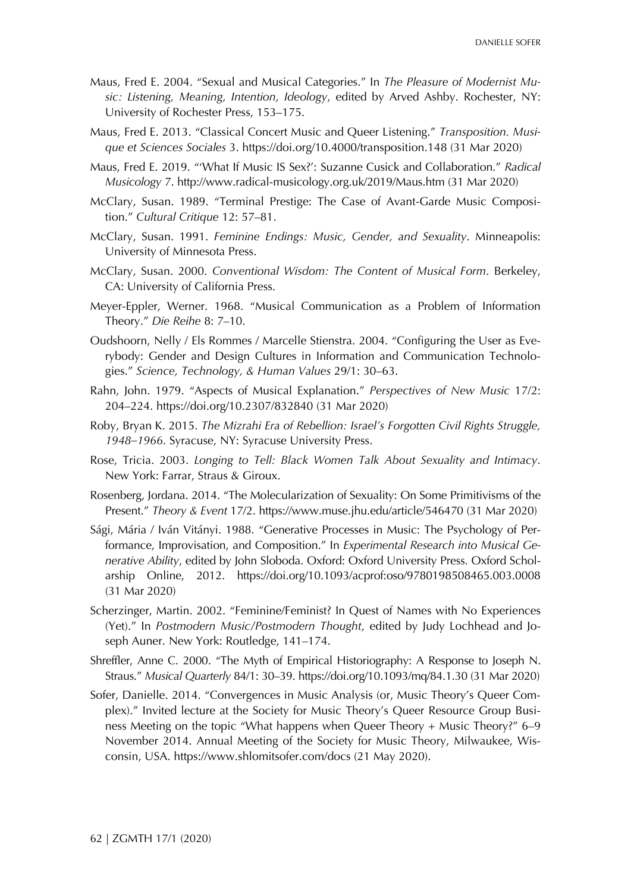- Maus, Fred E. 2004. "Sexual and Musical Categories." In *The Pleasure of Modernist Music: Listening, Meaning, Intention, Ideology*, edited by Arved Ashby. Rochester, NY: University of Rochester Press, 153–175.
- Maus, Fred E. 2013. "Classical Concert Music and Queer Listening." *Transposition. Musique et Sciences Sociales* 3.<https://doi.org/10.4000/transposition.148> (31 Mar 2020)
- Maus, Fred E. 2019. "'What If Music IS Sex?': Suzanne Cusick and Collaboration." *Radical Musicology* 7.<http://www.radical-musicology.org.uk/2019/Maus.htm> (31 Mar 2020)
- McClary, Susan. 1989. "Terminal Prestige: The Case of Avant-Garde Music Composition." *Cultural Critique* 12: 57–81.
- McClary, Susan. 1991. *Feminine Endings: Music, Gender, and Sexuality*. Minneapolis: University of Minnesota Press.
- McClary, Susan. 2000. *Conventional Wisdom: The Content of Musical Form*. Berkeley, CA: University of California Press.
- Meyer-Eppler, Werner. 1968. "Musical Communication as a Problem of Information Theory." *Die Reihe* 8: 7–10.
- Oudshoorn, Nelly / Els Rommes / Marcelle Stienstra. 2004. "Configuring the User as Everybody: Gender and Design Cultures in Information and Communication Technologies." *Science, Technology, & Human Values* 29/1: 30–63.
- Rahn, John. 1979. "Aspects of Musical Explanation." *Perspectives of New Music* 17/2: 204–224.<https://doi.org/10.2307/832840> (31 Mar 2020)
- Roby, Bryan K. 2015. *The Mizrahi Era of Rebellion: Israel's Forgotten Civil Rights Struggle, 1948–1966*. Syracuse, NY: Syracuse University Press.
- Rose, Tricia. 2003. *Longing to Tell: Black Women Talk About Sexuality and Intimacy*. New York: Farrar, Straus & Giroux.
- Rosenberg, Jordana. 2014. "The Molecularization of Sexuality: On Some Primitivisms of the Present." *Theory & Event* 17/2.<https://www.muse.jhu.edu/article/546470> (31 Mar 2020)
- Sági, Mária / Iván Vitányi. 1988. "Generative Processes in Music: The Psychology of Performance, Improvisation, and Composition." In *Experimental Research into Musical Generative Ability*, edited by John Sloboda. Oxford: Oxford University Press. Oxford Scholarship Online, 2012. <https://doi.org/10.1093/acprof:oso/9780198508465.003.0008> (31 Mar 2020)
- Scherzinger, Martin. 2002. "Feminine/Feminist? In Quest of Names with No Experiences (Yet)." In *Postmodern Music/Postmodern Thought*, edited by Judy Lochhead and Joseph Auner. New York: Routledge, 141–174.
- Shreffler, Anne C. 2000. "The Myth of Empirical Historiography: A Response to Joseph N. Straus." *Musical Quarterly* 84/1: 30–39[. https://doi.org/10.1093/mq/84.1.30](https://doi.org/10.1093/mq/84.1.30) (31 Mar 2020)
- Sofer, Danielle. 2014. "Convergences in Music Analysis (or, Music Theory's Queer Complex)." Invited lecture at the Society for Music Theory's Queer Resource Group Business Meeting on the topic "What happens when Queer Theory + Music Theory?" 6–9 November 2014. Annual Meeting of the Society for Music Theory, Milwaukee, Wisconsin, USA.<https://www.shlomitsofer.com/docs> (21 May 2020).